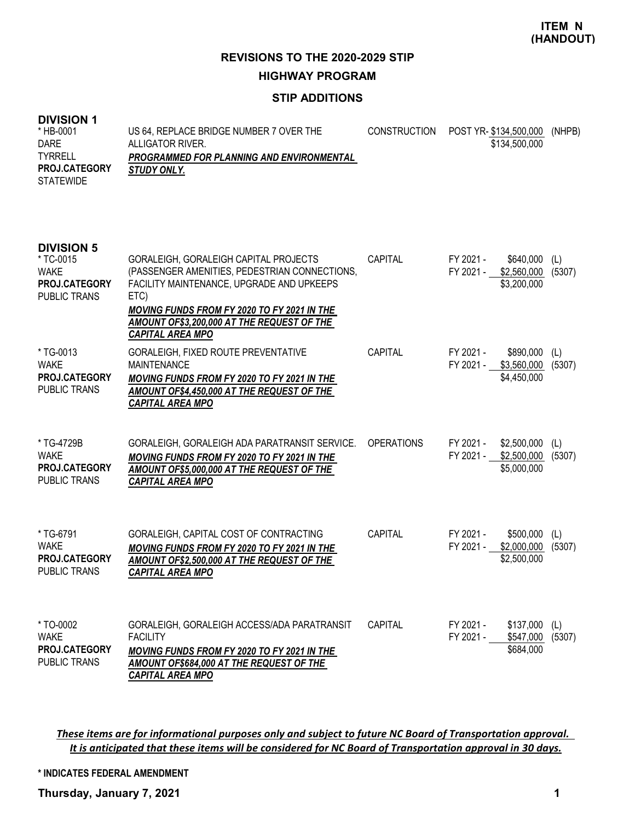## **STIP ADDITIONS**

#### **DIVISION 1**

| <b>DIVISION 1</b><br>* HB-0001<br><b>DARE</b><br>TYRRELL<br>PROJ.CATEGORY<br><b>STATEWIDE</b> | US 64, REPLACE BRIDGE NUMBER 7 OVER THE<br>ALLIGATOR RIVER.<br>PROGRAMMED FOR PLANNING AND ENVIRONMENTAL<br>STUDY ONLY.                                                                                                                                             | <b>CONSTRUCTION</b> | POST YR- \$134,500,000<br>\$134,500,000                             | (NHPB)        |
|-----------------------------------------------------------------------------------------------|---------------------------------------------------------------------------------------------------------------------------------------------------------------------------------------------------------------------------------------------------------------------|---------------------|---------------------------------------------------------------------|---------------|
| <b>DIVISION 5</b><br>* TC-0015<br><b>WAKE</b><br>PROJ.CATEGORY<br><b>PUBLIC TRANS</b>         | GORALEIGH, GORALEIGH CAPITAL PROJECTS<br>(PASSENGER AMENITIES, PEDESTRIAN CONNECTIONS,<br>FACILITY MAINTENANCE, UPGRADE AND UPKEEPS<br>ETC)<br>MOVING FUNDS FROM FY 2020 TO FY 2021 IN THE<br>AMOUNT OF\$3,200,000 AT THE REQUEST OF THE<br><b>CAPITAL AREA MPO</b> | <b>CAPITAL</b>      | FY 2021 -<br>\$640,000<br>\$2,560,000<br>FY 2021 -<br>\$3,200,000   | (L)<br>(5307) |
| *TG-0013<br><b>WAKE</b><br><b>PROJ.CATEGORY</b><br><b>PUBLIC TRANS</b>                        | GORALEIGH, FIXED ROUTE PREVENTATIVE<br><b>MAINTENANCE</b><br><b>MOVING FUNDS FROM FY 2020 TO FY 2021 IN THE</b><br>AMOUNT OF\$4,450,000 AT THE REQUEST OF THE<br><b>CAPITAL AREA MPO</b>                                                                            | CAPITAL             | FY 2021 -<br>\$890,000<br>\$3,560,000<br>FY 2021 -<br>\$4,450,000   | (L)<br>(5307) |
| * TG-4729B<br><b>WAKE</b><br>PROJ.CATEGORY<br><b>PUBLIC TRANS</b>                             | GORALEIGH, GORALEIGH ADA PARATRANSIT SERVICE.<br>MOVING FUNDS FROM FY 2020 TO FY 2021 IN THE<br>AMOUNT OF\$5,000,000 AT THE REQUEST OF THE<br><b>CAPITAL AREA MPO</b>                                                                                               | <b>OPERATIONS</b>   | FY 2021 -<br>\$2,500,000<br>\$2,500,000<br>FY 2021 -<br>\$5,000,000 | (L)<br>(5307) |
| * TG-6791<br><b>WAKE</b><br>PROJ.CATEGORY<br><b>PUBLIC TRANS</b>                              | GORALEIGH, CAPITAL COST OF CONTRACTING<br><b>MOVING FUNDS FROM FY 2020 TO FY 2021 IN THE</b><br><b>AMOUNT OF\$2,500,000 AT THE REQUEST OF THE</b><br><b>CAPITAL AREA MPO</b>                                                                                        | <b>CAPITAL</b>      | FY 2021 -<br>\$500,000<br>FY 2021 -<br>\$2,000,000<br>\$2,500,000   | (L)<br>(5307) |
| * TO-0002<br><b>WAKE</b><br>PROJ.CATEGORY<br>PUBLIC TRANS                                     | GORALEIGH, GORALEIGH ACCESS/ADA PARATRANSIT<br><b>FACILITY</b><br><b>MOVING FUNDS FROM FY 2020 TO FY 2021 IN THE</b><br>AMOUNT OF\$684,000 AT THE REQUEST OF THE<br><b>CAPITAL AREA MPO</b>                                                                         | CAPITAL             | FY 2021 -<br>\$137,000<br>FY 2021 -<br>\$547,000<br>\$684,000       | (L)<br>(5307) |

*These items are for informational purposes only and subject to future NC Board of Transportation approval. It is anticipated that these items will be considered for NC Board of Transportation approval in 30 days.*

**\* INDICATES FEDERAL AMENDMENT**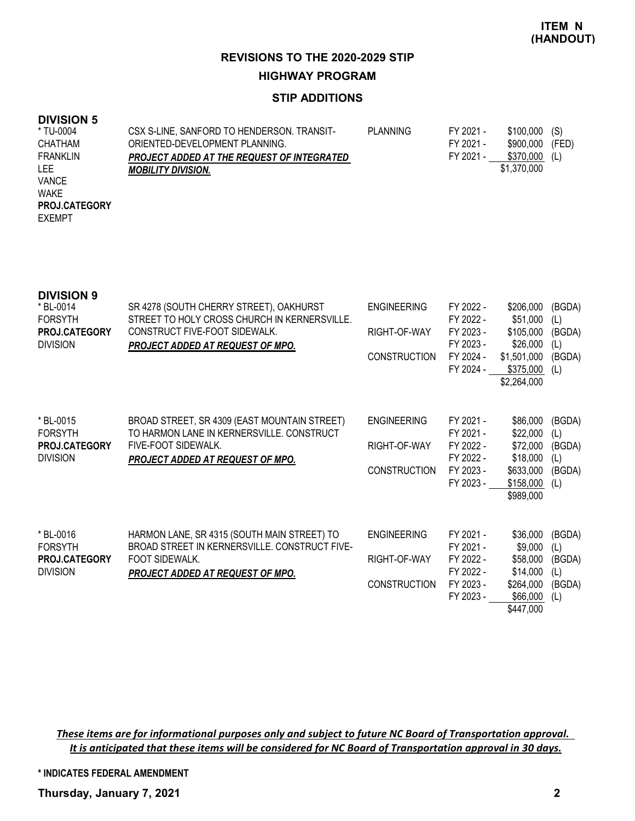### **STIP ADDITIONS**

### **DIVISION 5**

| * TU-0004       | CSX S-LINE, SANFORD TO HENDERSON. TRANSIT-        | PLANNING | FY 2021 - | \$100,000   | (S)   |
|-----------------|---------------------------------------------------|----------|-----------|-------------|-------|
| <b>CHATHAM</b>  | ORIENTED-DEVELOPMENT PLANNING.                    |          | FY 2021 - | \$900,000   | (FED) |
| <b>FRANKLIN</b> | <b>PROJECT ADDED AT THE REQUEST OF INTEGRATED</b> |          | FY 2021 - | \$370,000   | (L)   |
| <b>LEE</b>      | <b>MOBILITY DIVISION.</b>                         |          |           | \$1,370,000 |       |
| <b>VANCE</b>    |                                                   |          |           |             |       |
| <b>WAKE</b>     |                                                   |          |           |             |       |
| PROJ.CATEGORY   |                                                   |          |           |             |       |
| <b>EXEMPT</b>   |                                                   |          |           |             |       |
|                 |                                                   |          |           |             |       |

| <b>DIVISION 9</b><br>* BL-0014<br><b>FORSYTH</b><br>PROJ.CATEGORY<br><b>DIVISION</b> | SR 4278 (SOUTH CHERRY STREET), OAKHURST<br>STREET TO HOLY CROSS CHURCH IN KERNERSVILLE.<br>CONSTRUCT FIVE-FOOT SIDEWALK.<br>PROJECT ADDED AT REQUEST OF MPO. | <b>ENGINEERING</b><br>RIGHT-OF-WAY<br><b>CONSTRUCTION</b> | FY 2022 -<br>FY 2022 -<br>FY 2023 -<br>FY 2023 -<br>FY 2024 -<br>FY 2024 - | \$206,000<br>\$51,000<br>\$105,000<br>\$26,000<br>\$1,501,000<br>\$375,000<br>\$2,264,000 | (BGDA)<br>(L)<br>(BGDA)<br>(L)<br>(BGDA)<br>(L) |
|--------------------------------------------------------------------------------------|--------------------------------------------------------------------------------------------------------------------------------------------------------------|-----------------------------------------------------------|----------------------------------------------------------------------------|-------------------------------------------------------------------------------------------|-------------------------------------------------|
| * BL-0015<br><b>FORSYTH</b><br><b>PROJ.CATEGORY</b><br><b>DIVISION</b>               | BROAD STREET, SR 4309 (EAST MOUNTAIN STREET)<br>TO HARMON LANE IN KERNERSVILLE. CONSTRUCT<br>FIVE-FOOT SIDEWALK.<br><b>PROJECT ADDED AT REQUEST OF MPO.</b>  | <b>ENGINEERING</b><br>RIGHT-OF-WAY<br><b>CONSTRUCTION</b> | FY 2021 -<br>FY 2021 -<br>FY 2022 -<br>FY 2022 -<br>FY 2023 -<br>FY 2023 - | \$86,000<br>\$22,000<br>\$72,000<br>\$18,000<br>\$633,000<br>\$158,000<br>\$989,000       | (BGDA)<br>(L)<br>(BGDA)<br>(L)<br>(BGDA)<br>(L) |
| * BL-0016<br><b>FORSYTH</b><br><b>PROJ.CATEGORY</b><br><b>DIVISION</b>               | HARMON LANE, SR 4315 (SOUTH MAIN STREET) TO<br>BROAD STREET IN KERNERSVILLE. CONSTRUCT FIVE-<br>FOOT SIDEWALK.<br>PROJECT ADDED AT REQUEST OF MPO.           | <b>ENGINEERING</b><br>RIGHT-OF-WAY<br><b>CONSTRUCTION</b> | FY 2021 -<br>FY 2021 -<br>FY 2022 -<br>FY 2022 -<br>FY 2023 -<br>FY 2023 - | \$36,000<br>\$9,000<br>\$58,000<br>\$14,000<br>\$264,000<br>\$66,000<br>\$447,000         | (BGDA)<br>(L)<br>(BGDA)<br>(L)<br>(BGDA)<br>(L) |

*These items are for informational purposes only and subject to future NC Board of Transportation approval. It is anticipated that these items will be considered for NC Board of Transportation approval in 30 days.*

**\* INDICATES FEDERAL AMENDMENT**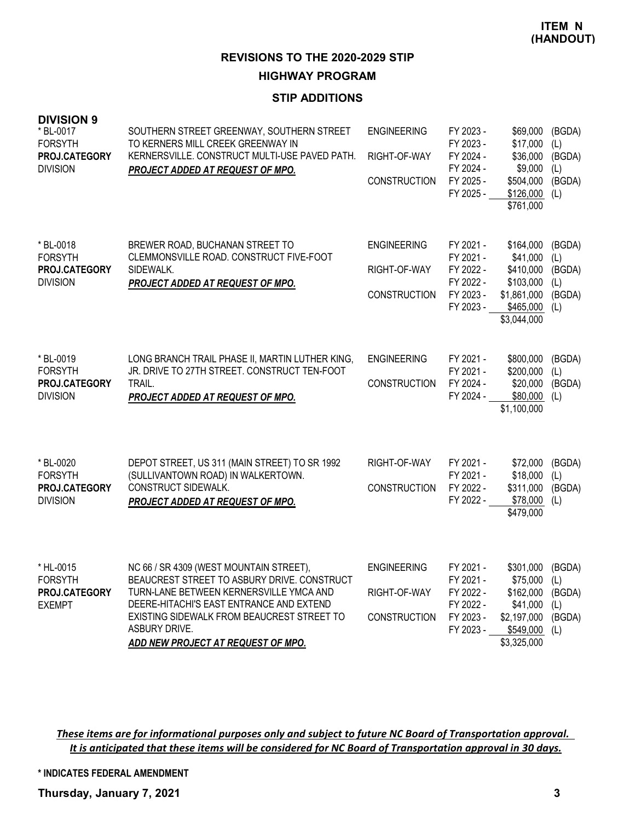### **STIP ADDITIONS**

| <b>DIVISION 9</b><br>* BL-0017<br><b>FORSYTH</b><br>PROJ.CATEGORY<br><b>DIVISION</b> | SOUTHERN STREET GREENWAY, SOUTHERN STREET<br>TO KERNERS MILL CREEK GREENWAY IN<br>KERNERSVILLE. CONSTRUCT MULTI-USE PAVED PATH.<br>PROJECT ADDED AT REQUEST OF MPO.                                                                                                                | <b>ENGINEERING</b><br>RIGHT-OF-WAY<br><b>CONSTRUCTION</b> | FY 2023 -<br>FY 2023 -<br>FY 2024 -<br>FY 2024 -<br>FY 2025 -<br>FY 2025 - | \$69,000<br>\$17,000<br>\$36,000<br>\$9,000<br>\$504,000<br>\$126,000<br>\$761,000              | (BGDA)<br>(L)<br>(BGDA)<br>(L)<br>(BGDA)<br>(L) |
|--------------------------------------------------------------------------------------|------------------------------------------------------------------------------------------------------------------------------------------------------------------------------------------------------------------------------------------------------------------------------------|-----------------------------------------------------------|----------------------------------------------------------------------------|-------------------------------------------------------------------------------------------------|-------------------------------------------------|
| * BL-0018<br><b>FORSYTH</b><br>PROJ.CATEGORY<br><b>DIVISION</b>                      | BREWER ROAD, BUCHANAN STREET TO<br>CLEMMONSVILLE ROAD. CONSTRUCT FIVE-FOOT<br>SIDEWALK.<br>PROJECT ADDED AT REQUEST OF MPO.                                                                                                                                                        | <b>ENGINEERING</b><br>RIGHT-OF-WAY<br><b>CONSTRUCTION</b> | FY 2021 -<br>FY 2021 -<br>FY 2022 -<br>FY 2022 -<br>FY 2023 -<br>FY 2023 - | \$164,000<br>\$41,000<br>\$410,000<br>\$103,000<br>\$1,861,000<br>$$465,000$ (L)<br>\$3,044,000 | (BGDA)<br>(L)<br>(BGDA)<br>(L)<br>(BGDA)        |
| * BL-0019<br><b>FORSYTH</b><br>PROJ.CATEGORY<br><b>DIVISION</b>                      | LONG BRANCH TRAIL PHASE II, MARTIN LUTHER KING,<br>JR. DRIVE TO 27TH STREET. CONSTRUCT TEN-FOOT<br>TRAIL.<br>PROJECT ADDED AT REQUEST OF MPO.                                                                                                                                      | <b>ENGINEERING</b><br><b>CONSTRUCTION</b>                 | FY 2021 -<br>FY 2021 -<br>FY 2024 -<br>FY 2024 -                           | \$800,000<br>\$200,000<br>\$20,000<br>\$80,000<br>\$1,100,000                                   | (BGDA)<br>(L)<br>(BGDA)<br>(L)                  |
| * BL-0020<br><b>FORSYTH</b><br>PROJ.CATEGORY<br><b>DIVISION</b>                      | DEPOT STREET, US 311 (MAIN STREET) TO SR 1992<br>(SULLIVANTOWN ROAD) IN WALKERTOWN.<br>CONSTRUCT SIDEWALK.<br>PROJECT ADDED AT REQUEST OF MPO.                                                                                                                                     | RIGHT-OF-WAY<br><b>CONSTRUCTION</b>                       | FY 2021 -<br>FY 2021 -<br>FY 2022 -<br>FY 2022 -                           | \$72,000<br>\$18,000<br>\$311,000<br>\$78,000<br>\$479,000                                      | (BGDA)<br>(L)<br>(BGDA)<br>(L)                  |
| * HL-0015<br><b>FORSYTH</b><br>PROJ.CATEGORY<br><b>EXEMPT</b>                        | NC 66 / SR 4309 (WEST MOUNTAIN STREET),<br>BEAUCREST STREET TO ASBURY DRIVE. CONSTRUCT<br>TURN-LANE BETWEEN KERNERSVILLE YMCA AND<br>DEERE-HITACHI'S EAST ENTRANCE AND EXTEND<br>EXISTING SIDEWALK FROM BEAUCREST STREET TO<br>ASBURY DRIVE.<br>ADD NEW PROJECT AT REQUEST OF MPO. | <b>ENGINEERING</b><br>RIGHT-OF-WAY<br><b>CONSTRUCTION</b> | FY 2021 -<br>FY 2021 -<br>FY 2022 -<br>FY 2022 -<br>FY 2023 -<br>FY 2023 - | \$301.000<br>\$75,000<br>\$162,000<br>\$41,000<br>\$2,197,000<br>\$549,000<br>\$3,325,000       | (BGDA)<br>(L)<br>(BGDA)<br>(L)<br>(BGDA)<br>(L) |

*These items are for informational purposes only and subject to future NC Board of Transportation approval. It is anticipated that these items will be considered for NC Board of Transportation approval in 30 days.*

**\* INDICATES FEDERAL AMENDMENT**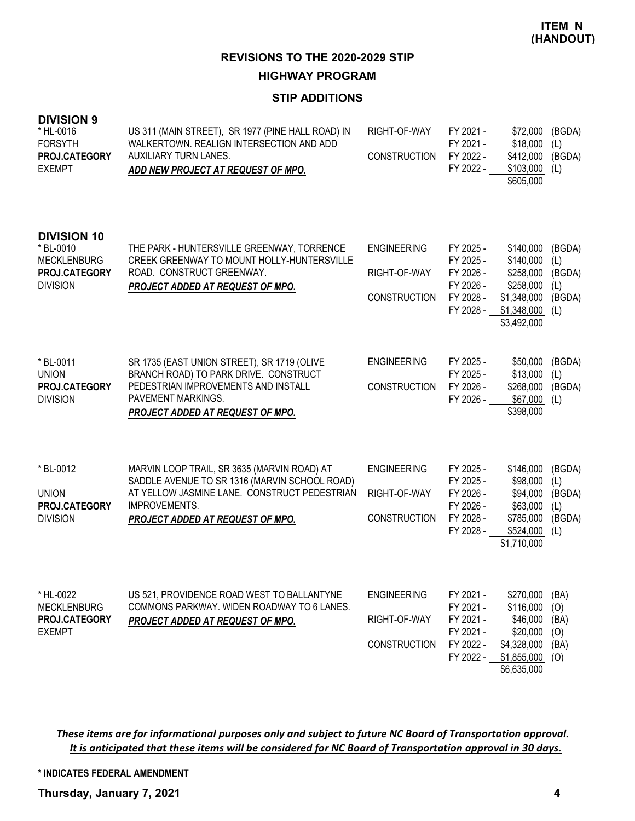### **STIP ADDITIONS**

| <b>DIVISION 9</b><br>* HL-0016<br><b>FORSYTH</b><br>PROJ.CATEGORY<br><b>EXEMPT</b>        | US 311 (MAIN STREET), SR 1977 (PINE HALL ROAD) IN<br>WALKERTOWN. REALIGN INTERSECTION AND ADD<br>AUXILIARY TURN LANES.<br>ADD NEW PROJECT AT REQUEST OF MPO.                                      | RIGHT-OF-WAY<br><b>CONSTRUCTION</b>                       | FY 2021 -<br>FY 2021 -<br>FY 2022 -<br>FY 2022 -                           | \$72,000<br>\$18,000<br>\$412,000<br>\$103,000<br>\$605,000                                   | (BGDA)<br>(L)<br>(BGDA)<br>(L)                  |
|-------------------------------------------------------------------------------------------|---------------------------------------------------------------------------------------------------------------------------------------------------------------------------------------------------|-----------------------------------------------------------|----------------------------------------------------------------------------|-----------------------------------------------------------------------------------------------|-------------------------------------------------|
| <b>DIVISION 10</b><br>* BL-0010<br><b>MECKLENBURG</b><br>PROJ.CATEGORY<br><b>DIVISION</b> | THE PARK - HUNTERSVILLE GREENWAY, TORRENCE<br>CREEK GREENWAY TO MOUNT HOLLY-HUNTERSVILLE<br>ROAD. CONSTRUCT GREENWAY.<br>PROJECT ADDED AT REQUEST OF MPO.                                         | <b>ENGINEERING</b><br>RIGHT-OF-WAY<br><b>CONSTRUCTION</b> | FY 2025 -<br>FY 2025 -<br>FY 2026 -<br>FY 2026 -<br>FY 2028 -<br>FY 2028 - | \$140,000<br>\$140,000<br>\$258,000<br>\$258,000<br>\$1,348,000<br>\$1,348,000<br>\$3,492,000 | (BGDA)<br>(L)<br>(BGDA)<br>(L)<br>(BGDA)<br>(L) |
| * BL-0011<br><b>UNION</b><br>PROJ.CATEGORY<br><b>DIVISION</b>                             | SR 1735 (EAST UNION STREET), SR 1719 (OLIVE<br>BRANCH ROAD) TO PARK DRIVE. CONSTRUCT<br>PEDESTRIAN IMPROVEMENTS AND INSTALL<br>PAVEMENT MARKINGS.<br>PROJECT ADDED AT REQUEST OF MPO.             | <b>ENGINEERING</b><br><b>CONSTRUCTION</b>                 | FY 2025 -<br>FY 2025 -<br>FY 2026 -<br>FY 2026 -                           | \$50,000<br>\$13,000<br>\$268,000<br>\$67,000<br>\$398,000                                    | (BGDA)<br>(L)<br>(BGDA)<br>(L)                  |
| * BL-0012<br><b>UNION</b><br>PROJ.CATEGORY<br><b>DIVISION</b>                             | MARVIN LOOP TRAIL, SR 3635 (MARVIN ROAD) AT<br>SADDLE AVENUE TO SR 1316 (MARVIN SCHOOL ROAD)<br>AT YELLOW JASMINE LANE. CONSTRUCT PEDESTRIAN<br>IMPROVEMENTS.<br>PROJECT ADDED AT REQUEST OF MPO. | <b>ENGINEERING</b><br>RIGHT-OF-WAY<br><b>CONSTRUCTION</b> | FY 2025 -<br>FY 2025 -<br>FY 2026 -<br>FY 2026 -<br>FY 2028 -<br>FY 2028 - | \$146,000<br>\$98,000<br>\$94,000<br>\$63,000<br>\$785,000<br>\$524,000<br>\$1,710,000        | (BGDA)<br>(L)<br>(BGDA)<br>(L)<br>(BGDA)<br>(L) |
| * HL-0022<br><b>MECKLENBURG</b><br>PROJ.CATEGORY<br><b>EXEMPT</b>                         | US 521, PROVIDENCE ROAD WEST TO BALLANTYNE<br>COMMONS PARKWAY. WIDEN ROADWAY TO 6 LANES.<br><b>PROJECT ADDED AT REQUEST OF MPO.</b>                                                               | <b>ENGINEERING</b><br>RIGHT-OF-WAY<br><b>CONSTRUCTION</b> | FY 2021 -<br>FY 2021 -<br>FY 2021 -<br>FY 2021 -<br>FY 2022 -<br>FY 2022 - | \$270,000<br>\$116,000<br>\$46,000<br>\$20,000<br>\$4,328,000<br>\$1,855,000<br>\$6,635,000   | (BA)<br>(O)<br>(BA)<br>(O)<br>(BA)<br>(0)       |

*These items are for informational purposes only and subject to future NC Board of Transportation approval. It is anticipated that these items will be considered for NC Board of Transportation approval in 30 days.*

**\* INDICATES FEDERAL AMENDMENT**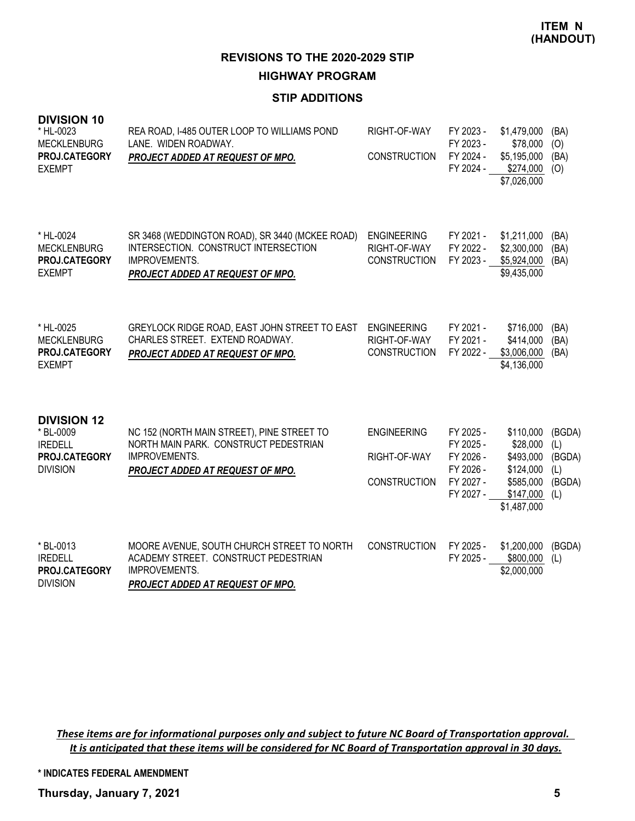## **STIP ADDITIONS**

| <b>DIVISION 10</b><br>* HL-0023<br><b>MECKLENBURG</b><br>PROJ.CATEGORY<br><b>EXEMPT</b> | REA ROAD, I-485 OUTER LOOP TO WILLIAMS POND<br>LANE. WIDEN ROADWAY.<br><b>PROJECT ADDED AT REQUEST OF MPO.</b>                                      | RIGHT-OF-WAY<br><b>CONSTRUCTION</b>                       | FY 2023 -<br>FY 2023 -<br>FY 2024 -<br>FY 2024 -                           | \$1,479,000<br>\$78,000<br>\$5,195,000<br>\$274,000<br>\$7,026,000                       | (BA)<br>(O)<br>(BA)<br>(O)                      |
|-----------------------------------------------------------------------------------------|-----------------------------------------------------------------------------------------------------------------------------------------------------|-----------------------------------------------------------|----------------------------------------------------------------------------|------------------------------------------------------------------------------------------|-------------------------------------------------|
| * HL-0024<br><b>MECKLENBURG</b><br><b>PROJ.CATEGORY</b><br><b>EXEMPT</b>                | SR 3468 (WEDDINGTON ROAD), SR 3440 (MCKEE ROAD)<br>INTERSECTION. CONSTRUCT INTERSECTION<br><b>IMPROVEMENTS.</b><br>PROJECT ADDED AT REQUEST OF MPO. | <b>ENGINEERING</b><br>RIGHT-OF-WAY<br><b>CONSTRUCTION</b> | FY 2021 -<br>FY 2022 -<br>FY 2023 -                                        | \$1,211,000<br>\$2,300,000<br>\$5,924,000<br>\$9,435,000                                 | (BA)<br>(BA)<br>(BA)                            |
| * HL-0025<br><b>MECKLENBURG</b><br>PROJ.CATEGORY<br><b>EXEMPT</b>                       | GREYLOCK RIDGE ROAD, EAST JOHN STREET TO EAST<br>CHARLES STREET. EXTEND ROADWAY.<br>PROJECT ADDED AT REQUEST OF MPO.                                | <b>ENGINEERING</b><br>RIGHT-OF-WAY<br><b>CONSTRUCTION</b> | FY 2021 -<br>FY 2021 -<br>FY 2022 -                                        | \$716,000<br>\$414,000<br>\$3,006,000<br>\$4,136,000                                     | (BA)<br>(BA)<br>(BA)                            |
| <b>DIVISION 12</b><br>* BL-0009<br><b>IREDELL</b><br>PROJ.CATEGORY<br><b>DIVISION</b>   | NC 152 (NORTH MAIN STREET), PINE STREET TO<br>NORTH MAIN PARK. CONSTRUCT PEDESTRIAN<br><b>IMPROVEMENTS.</b><br>PROJECT ADDED AT REQUEST OF MPO.     | <b>ENGINEERING</b><br>RIGHT-OF-WAY<br><b>CONSTRUCTION</b> | FY 2025 -<br>FY 2025 -<br>FY 2026 -<br>FY 2026 -<br>FY 2027 -<br>FY 2027 - | \$110,000<br>\$28,000<br>\$493,000<br>\$124,000<br>\$585,000<br>\$147,000<br>\$1,487,000 | (BGDA)<br>(L)<br>(BGDA)<br>(L)<br>(BGDA)<br>(L) |
| * BL-0013<br><b>IREDELL</b><br>PROJ.CATEGORY<br><b>DIVISION</b>                         | MOORE AVENUE, SOUTH CHURCH STREET TO NORTH<br>ACADEMY STREET. CONSTRUCT PEDESTRIAN<br><b>IMPROVEMENTS.</b><br>PROJECT ADDED AT REQUEST OF MPO.      | <b>CONSTRUCTION</b>                                       | FY 2025 -<br>FY 2025 -                                                     | \$1,200,000<br>\$800,000<br>\$2,000,000                                                  | (BGDA)<br>(L)                                   |

*These items are for informational purposes only and subject to future NC Board of Transportation approval. It is anticipated that these items will be considered for NC Board of Transportation approval in 30 days.*

**\* INDICATES FEDERAL AMENDMENT**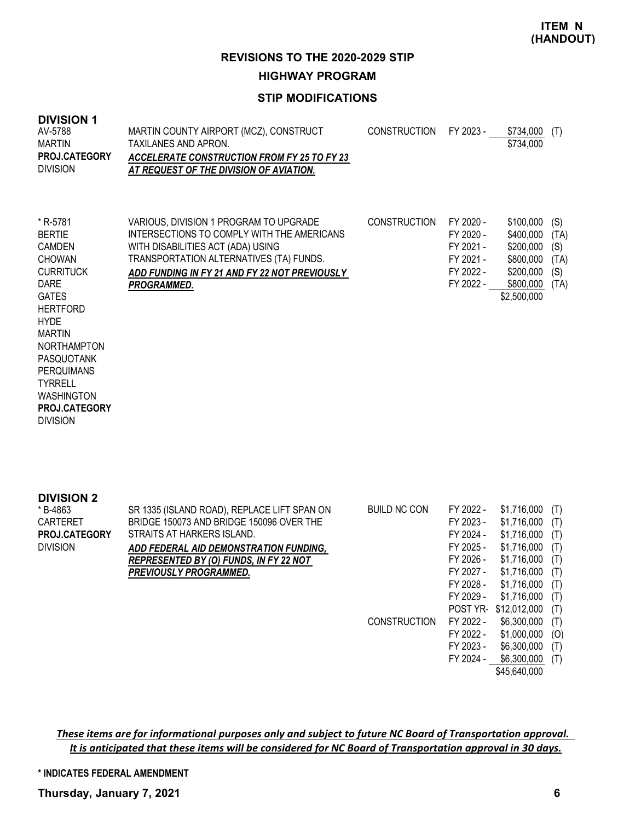### **STIP MODIFICATIONS**

#### **DIVISION 1**

| ו וטוטועו<br>AV-5788<br><b>MARTIN</b><br>PROJ.CATEGORY<br><b>DIVISION</b>                                                                                                                                                                                                                 | MARTIN COUNTY AIRPORT (MCZ), CONSTRUCT<br>TAXILANES AND APRON.<br><b>ACCELERATE CONSTRUCTION FROM FY 25 TO FY 23</b><br>AT REQUEST OF THE DIVISION OF AVIATION.                                                                      | <b>CONSTRUCTION</b> | FY 2023 -                                                                  | \$734,000<br>\$734,000                                                                    | (T)                                       |
|-------------------------------------------------------------------------------------------------------------------------------------------------------------------------------------------------------------------------------------------------------------------------------------------|--------------------------------------------------------------------------------------------------------------------------------------------------------------------------------------------------------------------------------------|---------------------|----------------------------------------------------------------------------|-------------------------------------------------------------------------------------------|-------------------------------------------|
| * R-5781<br><b>BERTIE</b><br><b>CAMDEN</b><br><b>CHOWAN</b><br><b>CURRITUCK</b><br><b>DARE</b><br><b>GATES</b><br><b>HERTFORD</b><br><b>HYDE</b><br><b>MARTIN</b><br><b>NORTHAMPTON</b><br>PASQUOTANK<br><b>PERQUIMANS</b><br><b>TYRRELL</b><br><b>WASHINGTON</b><br><b>PROJ.CATEGORY</b> | VARIOUS, DIVISION 1 PROGRAM TO UPGRADE<br>INTERSECTIONS TO COMPLY WITH THE AMERICANS<br>WITH DISABILITIES ACT (ADA) USING<br>TRANSPORTATION ALTERNATIVES (TA) FUNDS.<br>ADD FUNDING IN FY 21 AND FY 22 NOT PREVIOUSLY<br>PROGRAMMED. | <b>CONSTRUCTION</b> | FY 2020 -<br>FY 2020 -<br>FY 2021 -<br>FY 2021 -<br>FY 2022 -<br>FY 2022 - | \$100,000<br>\$400,000<br>\$200,000<br>\$800,000<br>\$200,000<br>\$800,000<br>\$2,500,000 | (S)<br>(TA)<br>(S)<br>(TA)<br>(S)<br>(TA) |

DIVISION

**DIVISION 2** SR 1335 (ISLAND ROAD), REPLACE LIFT SPAN ON BRIDGE 150073 AND BRIDGE 150096 OVER THE STRAITS AT HARKERS ISLAND. *ADD FEDERAL AID DEMONSTRATION FUNDING, REPRESENTED BY (O) FUNDS, IN FY 22 NOT PREVIOUSLY PROGRAMMED.* BUILD NC CON FY 2022 - \$1,716,000 (T) FY 2023 - \$1,716,000 (T) FY 2024 - \$1,716,000 (T) FY 2025 - \$1,716,000 (T) FY 2026 - \$1,716,000 (T) FY 2027 - \$1,716,000 (T) FY 2028 - \$1,716,000 (T) FY 2029 - \$1,716,000 (T) POST YR- \$12,012,000 (T) CONSTRUCTION FY 2022 - \$6,300,000 (T) FY 2022 - \$1,000,000 (O) FY 2023 - \$6,300,000 (T) \* B-4863 CARTERET DIVISION **PROJ.CATEGORY**

FY 2024 - \$6,300,000 (T) \$45,640,000

*These items are for informational purposes only and subject to future NC Board of Transportation approval. It is anticipated that these items will be considered for NC Board of Transportation approval in 30 days.*

**\* INDICATES FEDERAL AMENDMENT**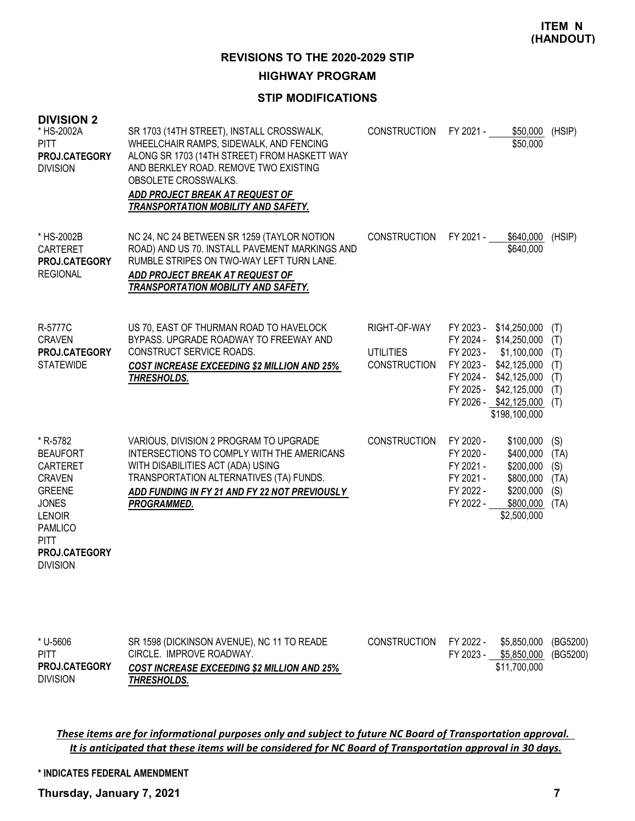### **STIP MODIFICATIONS**

| <b>DIVISION 2</b><br>* HS-2002A<br>PITT<br>PROJ.CATEGORY<br><b>DIVISION</b>                                                                                                            | SR 1703 (14TH STREET), INSTALL CROSSWALK,<br>WHEELCHAIR RAMPS, SIDEWALK, AND FENCING<br>ALONG SR 1703 (14TH STREET) FROM HASKETT WAY<br>AND BERKLEY ROAD. REMOVE TWO EXISTING<br>OBSOLETE CROSSWALKS.<br>ADD PROJECT BREAK AT REQUEST OF<br>TRANSPORTATION MOBILITY AND SAFETY. | <b>CONSTRUCTION</b>                                     | FY 2021 -                                                                  | \$50,000<br>\$50,000                                                                                                                                                                             | (HSIP)                                    |
|----------------------------------------------------------------------------------------------------------------------------------------------------------------------------------------|---------------------------------------------------------------------------------------------------------------------------------------------------------------------------------------------------------------------------------------------------------------------------------|---------------------------------------------------------|----------------------------------------------------------------------------|--------------------------------------------------------------------------------------------------------------------------------------------------------------------------------------------------|-------------------------------------------|
| * HS-2002B<br>CARTERET<br>PROJ.CATEGORY<br><b>REGIONAL</b>                                                                                                                             | NC 24, NC 24 BETWEEN SR 1259 (TAYLOR NOTION<br>ROAD) AND US 70. INSTALL PAVEMENT MARKINGS AND<br>RUMBLE STRIPES ON TWO-WAY LEFT TURN LANE.<br>ADD PROJECT BREAK AT REQUEST OF<br>TRANSPORTATION MOBILITY AND SAFETY.                                                            | <b>CONSTRUCTION</b>                                     | FY 2021 -                                                                  | \$640,000<br>\$640,000                                                                                                                                                                           | (HSIP)                                    |
| R-5777C<br><b>CRAVEN</b><br>PROJ.CATEGORY<br><b>STATEWIDE</b>                                                                                                                          | US 70, EAST OF THURMAN ROAD TO HAVELOCK<br>BYPASS. UPGRADE ROADWAY TO FREEWAY AND<br>CONSTRUCT SERVICE ROADS.<br><b>COST INCREASE EXCEEDING \$2 MILLION AND 25%</b><br>THRESHOLDS.                                                                                              | RIGHT-OF-WAY<br><b>UTILITIES</b><br><b>CONSTRUCTION</b> | FY 2023 -                                                                  | FY 2023 - \$14,250,000<br>FY 2024 - \$14,250,000<br>\$1,100,000<br>FY 2023 - \$42,125,000<br>FY 2024 - \$42,125,000 (T)<br>FY 2025 - \$42,125,000<br>FY 2026 - \$42,125,000 (T)<br>\$198,100,000 | (T)<br>(T)<br>(T)<br>(T)<br>(T)           |
| * R-5782<br><b>BEAUFORT</b><br><b>CARTERET</b><br><b>CRAVEN</b><br><b>GREENE</b><br><b>JONES</b><br><b>LENOIR</b><br><b>PAMLICO</b><br><b>PITT</b><br>PROJ.CATEGORY<br><b>DIVISION</b> | VARIOUS, DIVISION 2 PROGRAM TO UPGRADE<br>INTERSECTIONS TO COMPLY WITH THE AMERICANS<br>WITH DISABILITIES ACT (ADA) USING<br>TRANSPORTATION ALTERNATIVES (TA) FUNDS.<br>ADD FUNDING IN FY 21 AND FY 22 NOT PREVIOUSLY<br>PROGRAMMED.                                            | <b>CONSTRUCTION</b>                                     | FY 2020 -<br>FY 2020 -<br>FY 2021 -<br>FY 2021 -<br>FY 2022 -<br>FY 2022 - | \$100,000<br>\$400,000<br>\$200,000<br>\$800,000<br>\$200,000<br>\$800,000<br>\$2,500,000                                                                                                        | (S)<br>(TA)<br>(S)<br>(TA)<br>(S)<br>(TA) |

| * U-5606             | SR 1598 (DICKINSON AVENUE), NC 11 TO READE         | CONSTRUCTION FY 2022 - |           | \$5.850.000 (BG5200) |  |
|----------------------|----------------------------------------------------|------------------------|-----------|----------------------|--|
| PITT                 | CIRCLE. IMPROVE ROADWAY.                           |                        | FY 2023 - | \$5,850,000 (BG5200) |  |
| <b>PROJ.CATEGORY</b> | <b>COST INCREASE EXCEEDING \$2 MILLION AND 25%</b> |                        |           | \$11.700.000         |  |
| <b>DIVISION</b>      | THRESHOLDS.                                        |                        |           |                      |  |

*These items are for informational purposes only and subject to future NC Board of Transportation approval. It is anticipated that these items will be considered for NC Board of Transportation approval in 30 days.*

**\* INDICATES FEDERAL AMENDMENT**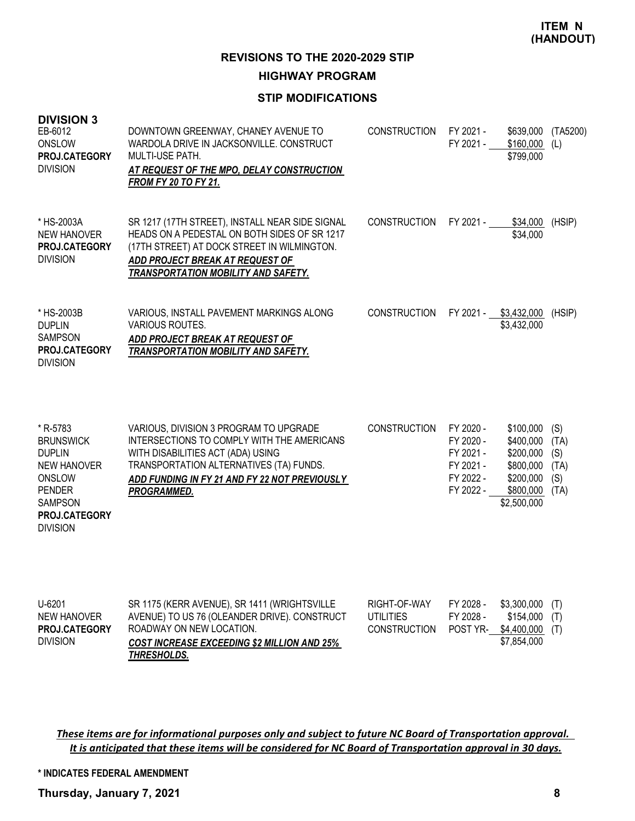### **STIP MODIFICATIONS**

| <b>DIVISION 3</b><br>EB-6012<br>ONSLOW<br>PROJ.CATEGORY<br><b>DIVISION</b>                                                                           | DOWNTOWN GREENWAY, CHANEY AVENUE TO<br>WARDOLA DRIVE IN JACKSONVILLE. CONSTRUCT<br>MULTI-USE PATH.<br>AT REQUEST OF THE MPO, DELAY CONSTRUCTION<br><b>FROM FY 20 TO FY 21.</b>                                                       | <b>CONSTRUCTION</b> | FY 2021 -<br>FY 2021 -                                                     | \$639,000<br>$$160,000$ (L)<br>\$799,000                                                  | (TA5200)                                  |
|------------------------------------------------------------------------------------------------------------------------------------------------------|--------------------------------------------------------------------------------------------------------------------------------------------------------------------------------------------------------------------------------------|---------------------|----------------------------------------------------------------------------|-------------------------------------------------------------------------------------------|-------------------------------------------|
| * HS-2003A<br><b>NEW HANOVER</b><br>PROJ.CATEGORY<br><b>DIVISION</b>                                                                                 | SR 1217 (17TH STREET), INSTALL NEAR SIDE SIGNAL<br>HEADS ON A PEDESTAL ON BOTH SIDES OF SR 1217<br>(17TH STREET) AT DOCK STREET IN WILMINGTON.<br>ADD PROJECT BREAK AT REQUEST OF<br><b>TRANSPORTATION MOBILITY AND SAFETY.</b>      | <b>CONSTRUCTION</b> | FY 2021 -                                                                  | \$34,000<br>\$34,000                                                                      | (HSIP)                                    |
| * HS-2003B<br><b>DUPLIN</b><br><b>SAMPSON</b><br>PROJ.CATEGORY<br><b>DIVISION</b>                                                                    | VARIOUS, INSTALL PAVEMENT MARKINGS ALONG<br><b>VARIOUS ROUTES.</b><br>ADD PROJECT BREAK AT REQUEST OF<br><b>TRANSPORTATION MOBILITY AND SAFETY.</b>                                                                                  | <b>CONSTRUCTION</b> |                                                                            | FY 2021 - \$3,432,000<br>\$3,432,000                                                      | (HSIP)                                    |
| * R-5783<br><b>BRUNSWICK</b><br><b>DUPLIN</b><br><b>NEW HANOVER</b><br>ONSLOW<br><b>PENDER</b><br><b>SAMPSON</b><br>PROJ.CATEGORY<br><b>DIVISION</b> | VARIOUS, DIVISION 3 PROGRAM TO UPGRADE<br>INTERSECTIONS TO COMPLY WITH THE AMERICANS<br>WITH DISABILITIES ACT (ADA) USING<br>TRANSPORTATION ALTERNATIVES (TA) FUNDS.<br>ADD FUNDING IN FY 21 AND FY 22 NOT PREVIOUSLY<br>PROGRAMMED. | <b>CONSTRUCTION</b> | FY 2020 -<br>FY 2020 -<br>FY 2021 -<br>FY 2021 -<br>FY 2022 -<br>FY 2022 - | \$100,000<br>\$400,000<br>\$200,000<br>\$800,000<br>\$200,000<br>\$800,000<br>\$2,500,000 | (S)<br>(TA)<br>(S)<br>(TA)<br>(S)<br>(TA) |
| 116201                                                                                                                                               | CD 1175 (KEDD AVENIJE) CD 1411 (MDICHTOVILLE                                                                                                                                                                                         | DICUT OF WAV        | EV 2028                                                                    | $43.300.000$ $(1)$                                                                        |                                           |

| U-6201               | SR 1175 (KERR AVENUE), SR 1411 (WRIGHTSVILLE       | RIGHT-OF-WAY        | FY 2028 - | $$3,300,000$ (T)         |  |
|----------------------|----------------------------------------------------|---------------------|-----------|--------------------------|--|
| NEW HANOVER          | AVENUE) TO US 76 (OLEANDER DRIVE). CONSTRUCT       | UTILITIES           | FY 2028 - | $$154,000$ (T)           |  |
| <b>PROJ.CATEGORY</b> | ROADWAY ON NEW LOCATION.                           | <b>CONSTRUCTION</b> |           | POST YR- \$4,400,000 (T) |  |
| <b>DIVISION</b>      | <b>COST INCREASE EXCEEDING \$2 MILLION AND 25%</b> |                     |           | \$7,854,000              |  |
|                      | THRESHOLDS.                                        |                     |           |                          |  |

*These items are for informational purposes only and subject to future NC Board of Transportation approval. It is anticipated that these items will be considered for NC Board of Transportation approval in 30 days.*

**\* INDICATES FEDERAL AMENDMENT**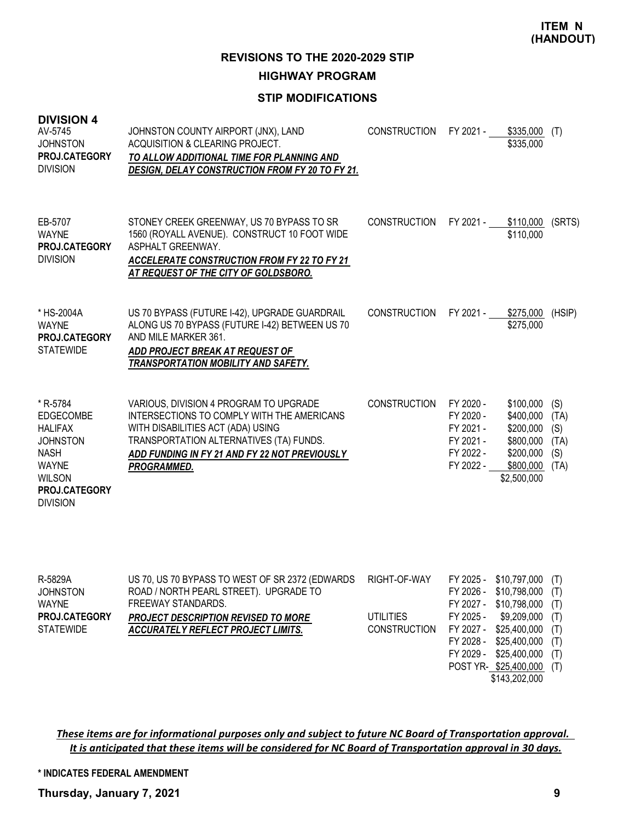## **STIP MODIFICATIONS**

| <b>DIVISION 4</b><br>AV-5745<br><b>JOHNSTON</b><br>PROJ.CATEGORY<br><b>DIVISION</b>                                                                          | JOHNSTON COUNTY AIRPORT (JNX), LAND<br>ACQUISITION & CLEARING PROJECT.<br>TO ALLOW ADDITIONAL TIME FOR PLANNING AND<br><b>DESIGN, DELAY CONSTRUCTION FROM FY 20 TO FY 21.</b>                                                        | <b>CONSTRUCTION</b>                                     | FY 2021 -                                                                  | \$335,000<br>\$335,000                                                                                                                        | (T)                                                  |
|--------------------------------------------------------------------------------------------------------------------------------------------------------------|--------------------------------------------------------------------------------------------------------------------------------------------------------------------------------------------------------------------------------------|---------------------------------------------------------|----------------------------------------------------------------------------|-----------------------------------------------------------------------------------------------------------------------------------------------|------------------------------------------------------|
| EB-5707<br><b>WAYNE</b><br>PROJ.CATEGORY<br><b>DIVISION</b>                                                                                                  | STONEY CREEK GREENWAY, US 70 BYPASS TO SR<br>1560 (ROYALL AVENUE). CONSTRUCT 10 FOOT WIDE<br>ASPHALT GREENWAY.<br><b>ACCELERATE CONSTRUCTION FROM FY 22 TO FY 21</b><br>AT REQUEST OF THE CITY OF GOLDSBORO.                         | <b>CONSTRUCTION</b>                                     | FY 2021 -                                                                  | \$110,000<br>\$110,000                                                                                                                        | (SRTS)                                               |
| * HS-2004A<br><b>WAYNE</b><br>PROJ.CATEGORY<br><b>STATEWIDE</b>                                                                                              | US 70 BYPASS (FUTURE I-42), UPGRADE GUARDRAIL<br>ALONG US 70 BYPASS (FUTURE I-42) BETWEEN US 70<br>AND MILE MARKER 361.<br>ADD PROJECT BREAK AT REQUEST OF<br>TRANSPORTATION MOBILITY AND SAFETY.                                    | <b>CONSTRUCTION</b>                                     | FY 2021 -                                                                  | \$275,000<br>\$275,000                                                                                                                        | (HSIP)                                               |
| * R-5784<br><b>EDGECOMBE</b><br><b>HALIFAX</b><br><b>JOHNSTON</b><br><b>NASH</b><br><b>WAYNE</b><br><b>WILSON</b><br><b>PROJ.CATEGORY</b><br><b>DIVISION</b> | VARIOUS, DIVISION 4 PROGRAM TO UPGRADE<br>INTERSECTIONS TO COMPLY WITH THE AMERICANS<br>WITH DISABILITIES ACT (ADA) USING<br>TRANSPORTATION ALTERNATIVES (TA) FUNDS.<br>ADD FUNDING IN FY 21 AND FY 22 NOT PREVIOUSLY<br>PROGRAMMED. | <b>CONSTRUCTION</b>                                     | FY 2020 -<br>FY 2020 -<br>FY 2021 -<br>FY 2021 -<br>FY 2022 -<br>FY 2022 - | \$100,000<br>\$400,000<br>\$200,000<br>\$800,000<br>\$200,000<br>\$800,000<br>\$2,500,000                                                     | (S)<br>(TA)<br>(S)<br>(TA)<br>(S)<br>(TA)            |
| R-5829A<br><b>JOHNSTON</b><br><b>WAYNE</b><br>PROJ.CATEGORY<br><b>STATEWIDE</b>                                                                              | US 70, US 70 BYPASS TO WEST OF SR 2372 (EDWARDS<br>ROAD / NORTH PEARL STREET). UPGRADE TO<br>FREEWAY STANDARDS.<br>PROJECT DESCRIPTION REVISED TO MORE<br><b>ACCURATELY REFLECT PROJECT LIMITS.</b>                                  | RIGHT-OF-WAY<br><b>UTILITIES</b><br><b>CONSTRUCTION</b> | FY 2026 -<br>FY 2027 -<br>FY 2025 -<br>FY 2027 -<br>FY 2028 -<br>FY 2029 - | FY 2025 - \$10,797,000<br>\$10,798,000<br>\$10,798,000<br>\$9,209,000<br>\$25,400,000<br>\$25,400,000<br>\$25,400,000<br>POST YR-\$25,400,000 | (T)<br>(T)<br>(T)<br>(T)<br>(T)<br>(T)<br>(T)<br>(T) |

\$143,202,000

*These items are for informational purposes only and subject to future NC Board of Transportation approval. It is anticipated that these items will be considered for NC Board of Transportation approval in 30 days.*

#### **\* INDICATES FEDERAL AMENDMENT**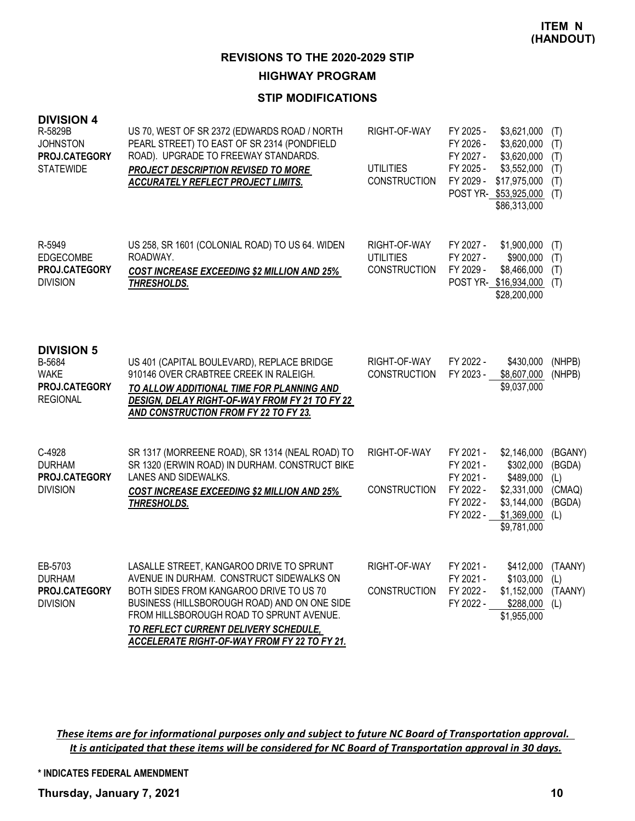### **STIP MODIFICATIONS**

| <b>DIVISION 4</b><br>R-5829B<br><b>JOHNSTON</b><br><b>PROJ.CATEGORY</b><br><b>STATEWIDE</b> | US 70, WEST OF SR 2372 (EDWARDS ROAD / NORTH<br>PEARL STREET) TO EAST OF SR 2314 (PONDFIELD<br>ROAD). UPGRADE TO FREEWAY STANDARDS.<br>PROJECT DESCRIPTION REVISED TO MORE<br><b>ACCURATELY REFLECT PROJECT LIMITS.</b>                                                                                              | RIGHT-OF-WAY<br><b>UTILITIES</b><br><b>CONSTRUCTION</b> | FY 2025 -<br>FY 2026 -<br>FY 2027 -<br>FY 2025 -<br>FY 2029 -              | \$3,621,000<br>\$3,620,000<br>\$3,620,000<br>\$3,552,000<br>\$17,975,000<br>POST YR- \$53,925,000<br>\$86,313,000 | (T)<br>(T)<br>(T)<br>(T)<br>(T)<br>(T)              |
|---------------------------------------------------------------------------------------------|----------------------------------------------------------------------------------------------------------------------------------------------------------------------------------------------------------------------------------------------------------------------------------------------------------------------|---------------------------------------------------------|----------------------------------------------------------------------------|-------------------------------------------------------------------------------------------------------------------|-----------------------------------------------------|
| R-5949<br><b>EDGECOMBE</b><br>PROJ.CATEGORY<br><b>DIVISION</b>                              | US 258, SR 1601 (COLONIAL ROAD) TO US 64. WIDEN<br>ROADWAY.<br><b>COST INCREASE EXCEEDING \$2 MILLION AND 25%</b><br>THRESHOLDS.                                                                                                                                                                                     | RIGHT-OF-WAY<br><b>UTILITIES</b><br><b>CONSTRUCTION</b> | FY 2027 -<br>FY 2027 -<br>FY 2029 -                                        | \$1,900,000<br>\$900,000<br>\$8,466,000<br>POST YR- \$16,934,000<br>\$28,200,000                                  | (T)<br>(T)<br>(T)<br>(T)                            |
| <b>DIVISION 5</b><br>B-5684<br><b>WAKE</b><br>PROJ.CATEGORY<br><b>REGIONAL</b>              | US 401 (CAPITAL BOULEVARD), REPLACE BRIDGE<br>910146 OVER CRABTREE CREEK IN RALEIGH.<br>TO ALLOW ADDITIONAL TIME FOR PLANNING AND<br>DESIGN, DELAY RIGHT-OF-WAY FROM FY 21 TO FY 22<br>AND CONSTRUCTION FROM FY 22 TO FY 23.                                                                                         | RIGHT-OF-WAY<br>CONSTRUCTION                            | FY 2022 -<br>FY 2023 -                                                     | \$430,000<br>\$8,607,000<br>\$9,037,000                                                                           | (NHPB)<br>(NHPB)                                    |
| C-4928<br><b>DURHAM</b><br>PROJ.CATEGORY<br><b>DIVISION</b>                                 | SR 1317 (MORREENE ROAD), SR 1314 (NEAL ROAD) TO<br>SR 1320 (ERWIN ROAD) IN DURHAM. CONSTRUCT BIKE<br>LANES AND SIDEWALKS.<br><b>COST INCREASE EXCEEDING \$2 MILLION AND 25%</b><br>THRESHOLDS.                                                                                                                       | RIGHT-OF-WAY<br><b>CONSTRUCTION</b>                     | FY 2021 -<br>FY 2021 -<br>FY 2021 -<br>FY 2022 -<br>FY 2022 -<br>FY 2022 - | \$2,146,000<br>\$302,000<br>\$489,000<br>\$2,331,000<br>\$3,144,000<br>\$1,369,000<br>\$9,781,000                 | (BGANY)<br>(BGDA)<br>(L)<br>(CMAQ)<br>(BGDA)<br>(L) |
| EB-5703<br><b>DURHAM</b><br>PROJ.CATEGORY<br><b>DIVISION</b>                                | LASALLE STREET, KANGAROO DRIVE TO SPRUNT<br>AVENUE IN DURHAM. CONSTRUCT SIDEWALKS ON<br>BOTH SIDES FROM KANGAROO DRIVE TO US 70<br>BUSINESS (HILLSBOROUGH ROAD) AND ON ONE SIDE<br>FROM HILLSBOROUGH ROAD TO SPRUNT AVENUE.<br>TO REFLECT CURRENT DELIVERY SCHEDULE,<br>ACCELERATE RIGHT-OF-WAY FROM FY 22 TO FY 21. | RIGHT-OF-WAY<br><b>CONSTRUCTION</b>                     | FY 2021 -<br>FY 2021 -<br>FY 2022 -<br>FY 2022 -                           | \$412,000<br>\$103,000<br>\$1,152,000<br>\$288,000<br>\$1,955,000                                                 | (TAANY)<br>(L)<br>(TAANY)<br>(L)                    |

*These items are for informational purposes only and subject to future NC Board of Transportation approval. It is anticipated that these items will be considered for NC Board of Transportation approval in 30 days.*

**\* INDICATES FEDERAL AMENDMENT**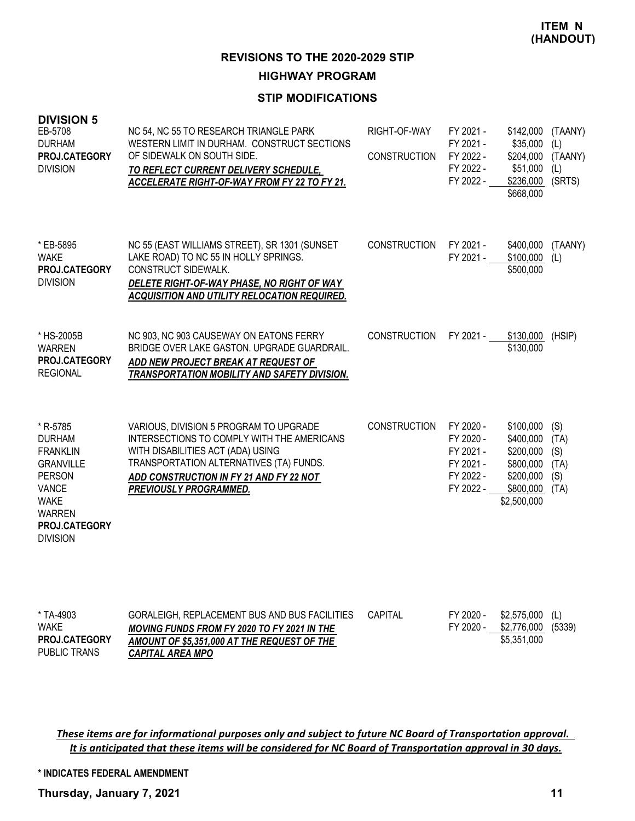### **STIP MODIFICATIONS**

| <b>DIVISION 5</b><br>EB-5708<br><b>DURHAM</b><br>PROJ.CATEGORY<br><b>DIVISION</b>                                                                                     | NC 54, NC 55 TO RESEARCH TRIANGLE PARK<br>WESTERN LIMIT IN DURHAM. CONSTRUCT SECTIONS<br>OF SIDEWALK ON SOUTH SIDE.<br>TO REFLECT CURRENT DELIVERY SCHEDULE,<br>ACCELERATE RIGHT-OF-WAY FROM FY 22 TO FY 21.                              | RIGHT-OF-WAY<br><b>CONSTRUCTION</b> | FY 2021 -<br>FY 2021 -<br>FY 2022 -<br>FY 2022 -<br>FY 2022 -              | \$142,000<br>\$35,000<br>\$204,000<br>\$51,000<br>\$236,000<br>\$668,000                  | (TAANY)<br>(L)<br>(TAANY)<br>(L)<br>(SRTS) |
|-----------------------------------------------------------------------------------------------------------------------------------------------------------------------|-------------------------------------------------------------------------------------------------------------------------------------------------------------------------------------------------------------------------------------------|-------------------------------------|----------------------------------------------------------------------------|-------------------------------------------------------------------------------------------|--------------------------------------------|
| * EB-5895<br><b>WAKE</b><br>PROJ.CATEGORY<br><b>DIVISION</b>                                                                                                          | NC 55 (EAST WILLIAMS STREET), SR 1301 (SUNSET<br>LAKE ROAD) TO NC 55 IN HOLLY SPRINGS.<br>CONSTRUCT SIDEWALK.<br>DELETE RIGHT-OF-WAY PHASE, NO RIGHT OF WAY<br>ACQUISITION AND UTILITY RELOCATION REQUIRED.                               | <b>CONSTRUCTION</b>                 | FY 2021 -<br>FY 2021 -                                                     | \$400,000<br>\$100,000<br>\$500,000                                                       | (TAANY)<br>(L)                             |
| * HS-2005B<br>WARREN<br>PROJ.CATEGORY<br><b>REGIONAL</b>                                                                                                              | NC 903, NC 903 CAUSEWAY ON EATONS FERRY<br>BRIDGE OVER LAKE GASTON. UPGRADE GUARDRAIL.<br>ADD NEW PROJECT BREAK AT REQUEST OF<br>TRANSPORTATION MOBILITY AND SAFETY DIVISION.                                                             | <b>CONSTRUCTION</b>                 | FY 2021 -                                                                  | \$130,000<br>\$130,000                                                                    | (HSIP)                                     |
| * R-5785<br><b>DURHAM</b><br><b>FRANKLIN</b><br><b>GRANVILLE</b><br><b>PERSON</b><br><b>VANCE</b><br><b>WAKE</b><br><b>WARREN</b><br>PROJ.CATEGORY<br><b>DIVISION</b> | VARIOUS, DIVISION 5 PROGRAM TO UPGRADE<br>INTERSECTIONS TO COMPLY WITH THE AMERICANS<br>WITH DISABILITIES ACT (ADA) USING<br>TRANSPORTATION ALTERNATIVES (TA) FUNDS.<br>ADD CONSTRUCTION IN FY 21 AND FY 22 NOT<br>PREVIOUSLY PROGRAMMED. | <b>CONSTRUCTION</b>                 | FY 2020 -<br>FY 2020 -<br>FY 2021 -<br>FY 2021 -<br>FY 2022 -<br>FY 2022 - | \$100,000<br>\$400,000<br>\$200,000<br>\$800,000<br>\$200,000<br>\$800,000<br>\$2,500,000 | (S)<br>(TA)<br>(S)<br>(TA)<br>(S)<br>(TA)  |
| * TA-4903<br><b>WAKE</b><br>-- <u>---</u> -                                                                                                                           | GORALEIGH, REPLACEMENT BUS AND BUS FACILITIES<br>MOVING FUNDS FROM FY 2020 TO FY 2021 IN THE                                                                                                                                              | <b>CAPITAL</b>                      | FY 2020 -<br>FY 2020 -                                                     | \$2,575,000<br>\$2,776,000 (5339)<br>$A = A = A$                                          | (L)                                        |

*These items are for informational purposes only and subject to future NC Board of Transportation approval. It is anticipated that these items will be considered for NC Board of Transportation approval in 30 days.*

*AMOUNT OF \$5,351,000 AT THE REQUEST OF THE* 

*CAPITAL AREA MPO*

**\* INDICATES FEDERAL AMENDMENT**

**Thursday, January 7, 2021 11**

PUBLIC TRANS **PROJ.CATEGORY**

\$5,351,000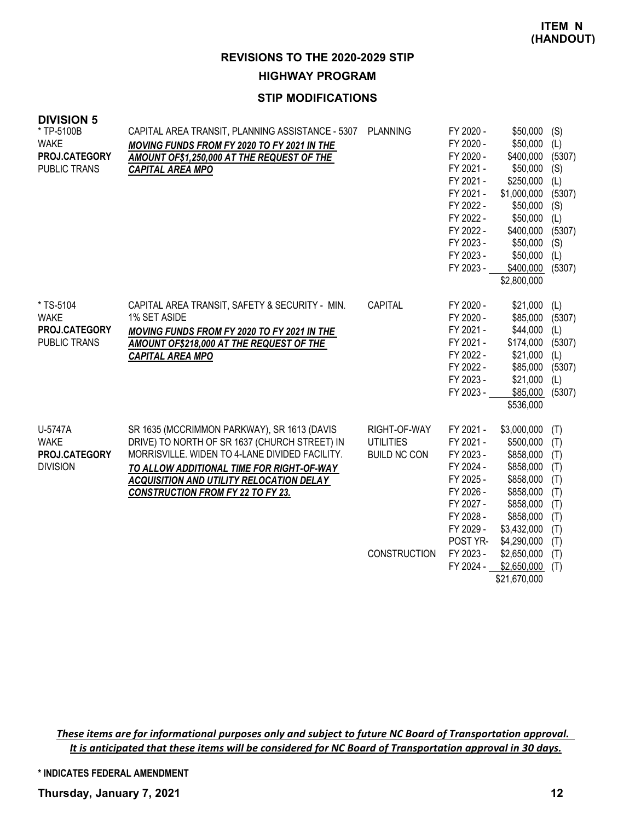### **STIP MODIFICATIONS**

| <b>DIVISION 5</b><br>* TP-5100B                                  | CAPITAL AREA TRANSIT, PLANNING ASSISTANCE - 5307                                                                                                                                                                                                                                           | <b>PLANNING</b>                                         | FY 2020 -                                                                                                                                   | \$50,000                                                                                                                                               | (S)                                                                                   |
|------------------------------------------------------------------|--------------------------------------------------------------------------------------------------------------------------------------------------------------------------------------------------------------------------------------------------------------------------------------------|---------------------------------------------------------|---------------------------------------------------------------------------------------------------------------------------------------------|--------------------------------------------------------------------------------------------------------------------------------------------------------|---------------------------------------------------------------------------------------|
| <b>WAKE</b><br>PROJ.CATEGORY<br><b>PUBLIC TRANS</b>              | MOVING FUNDS FROM FY 2020 TO FY 2021 IN THE<br>AMOUNT OF\$1,250,000 AT THE REQUEST OF THE<br><b>CAPITAL AREA MPO</b>                                                                                                                                                                       |                                                         | FY 2020 -<br>FY 2020 -<br>FY 2021 -<br>FY 2021 -<br>FY 2021 -<br>FY 2022 -<br>FY 2022 -<br>FY 2022 -<br>FY 2023 -<br>FY 2023 -<br>FY 2023 - | \$50,000<br>\$400,000<br>\$50,000<br>\$250,000<br>\$1,000,000<br>\$50,000<br>\$50,000<br>\$400,000<br>\$50,000<br>\$50,000<br>\$400,000<br>\$2,800,000 | (L)<br>(5307)<br>(S)<br>(L)<br>(5307)<br>(S)<br>(L)<br>(5307)<br>(S)<br>(L)<br>(5307) |
| * TS-5104<br><b>WAKE</b><br>PROJ.CATEGORY<br><b>PUBLIC TRANS</b> | CAPITAL AREA TRANSIT, SAFETY & SECURITY - MIN.<br>1% SET ASIDE<br>MOVING FUNDS FROM FY 2020 TO FY 2021 IN THE<br>AMOUNT OF\$218,000 AT THE REQUEST OF THE<br><b>CAPITAL AREA MPO</b>                                                                                                       | <b>CAPITAL</b>                                          | FY 2020 -<br>FY 2020 -<br>FY 2021 -<br>FY 2021 -<br>FY 2022 -<br>FY 2022 -<br>FY 2023 -<br>FY 2023 -                                        | \$21,000<br>\$85,000<br>\$44,000<br>\$174,000<br>\$21,000<br>\$85,000<br>\$21,000<br>\$85,000<br>\$536,000                                             | (L)<br>(5307)<br>(L)<br>(5307)<br>(L)<br>(5307)<br>(L)<br>(5307)                      |
| U-5747A<br><b>WAKE</b><br>PROJ.CATEGORY<br><b>DIVISION</b>       | SR 1635 (MCCRIMMON PARKWAY), SR 1613 (DAVIS<br>DRIVE) TO NORTH OF SR 1637 (CHURCH STREET) IN<br>MORRISVILLE. WIDEN TO 4-LANE DIVIDED FACILITY.<br>TO ALLOW ADDITIONAL TIME FOR RIGHT-OF-WAY<br><b>ACQUISITION AND UTILITY RELOCATION DELAY</b><br><b>CONSTRUCTION FROM FY 22 TO FY 23.</b> | RIGHT-OF-WAY<br><b>UTILITIES</b><br><b>BUILD NC CON</b> | FY 2021 -<br>FY 2021 -<br>FY 2023 -<br>FY 2024 -<br>FY 2025 -<br>FY 2026 -<br>FY 2027 -<br>FY 2028 -<br>FY 2029 -<br>POST YR-               | \$3,000,000<br>\$500,000<br>\$858,000<br>\$858,000<br>\$858,000<br>\$858,000<br>\$858,000<br>\$858,000<br>\$3,432,000<br>\$4,290,000                   | (T)<br>(T)<br>(T)<br>(T)<br>(T)<br>(T)<br>(T)<br>(T)<br>(T)<br>(T)                    |
|                                                                  |                                                                                                                                                                                                                                                                                            | <b>CONSTRUCTION</b>                                     | FY 2023 -<br>FY 2024 -                                                                                                                      | \$2,650,000<br>\$2,650,000<br>\$21,670,000                                                                                                             | (T)<br>(T)                                                                            |

*These items are for informational purposes only and subject to future NC Board of Transportation approval. It is anticipated that these items will be considered for NC Board of Transportation approval in 30 days.*

**\* INDICATES FEDERAL AMENDMENT**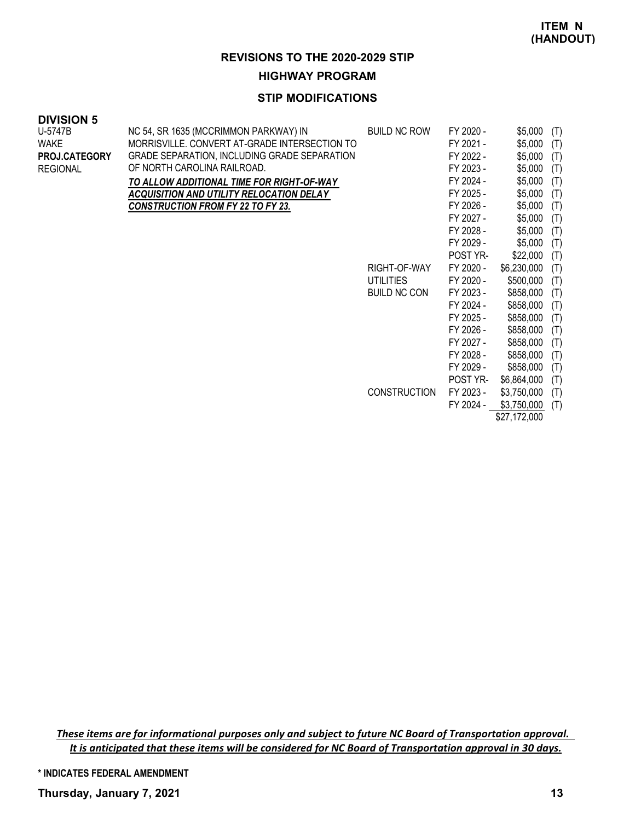### **STIP MODIFICATIONS**

#### **DIVISION 5**

| U-5747B         | NC 54, SR 1635 (MCCRIMMON PARKWAY) IN           | <b>BUILD NC ROW</b> | FY 2020 - | \$5,000     | (T) |
|-----------------|-------------------------------------------------|---------------------|-----------|-------------|-----|
| <b>WAKE</b>     | MORRISVILLE. CONVERT AT-GRADE INTERSECTION TO   |                     | FY 2021 - | \$5,000     | (T) |
| PROJ.CATEGORY   | GRADE SEPARATION, INCLUDING GRADE SEPARATION    |                     | FY 2022 - | \$5,000     | (T) |
| <b>REGIONAL</b> | OF NORTH CAROLINA RAILROAD.                     |                     | FY 2023 - | \$5,000     | (T) |
|                 | TO ALLOW ADDITIONAL TIME FOR RIGHT-OF-WAY       |                     | FY 2024 - | \$5,000     | (T) |
|                 | <b>ACQUISITION AND UTILITY RELOCATION DELAY</b> |                     | FY 2025 - | \$5,000     | (T) |
|                 | CONSTRUCTION FROM FY 22 TO FY 23.               |                     | FY 2026 - | \$5,000     | (T) |
|                 |                                                 |                     | FY 2027 - | \$5,000     | (T) |
|                 |                                                 |                     | FY 2028 - | \$5,000     | (T) |
|                 |                                                 |                     | FY 2029 - | \$5,000     | (T) |
|                 |                                                 |                     | POST YR-  | \$22,000    | (T) |
|                 |                                                 | RIGHT-OF-WAY        | FY 2020 - | \$6,230,000 | (T) |
|                 |                                                 | <b>UTILITIES</b>    | FY 2020 - | \$500,000   | (T) |
|                 |                                                 | <b>BUILD NC CON</b> | FY 2023 - | \$858,000   | (T) |
|                 |                                                 |                     | FY 2024 - | \$858,000   | (T) |
|                 |                                                 |                     | FY 2025 - | \$858,000   | (T) |
|                 |                                                 |                     | FY 2026 - | \$858,000   | (T) |
|                 |                                                 |                     | FY 2027 - | \$858,000   | (T) |
|                 |                                                 |                     | FY 2028 - | \$858,000   | (T) |
|                 |                                                 |                     | FY 2029 - | \$858,000   | (T) |
|                 |                                                 |                     | POST YR-  | \$6,864,000 | (T) |
|                 |                                                 | <b>CONSTRUCTION</b> | FY 2023 - | \$3,750,000 | (T) |
|                 |                                                 |                     | FY 2024 - | \$3,750,000 | (T) |

\$27,172,000

*These items are for informational purposes only and subject to future NC Board of Transportation approval. It is anticipated that these items will be considered for NC Board of Transportation approval in 30 days.*

**\* INDICATES FEDERAL AMENDMENT**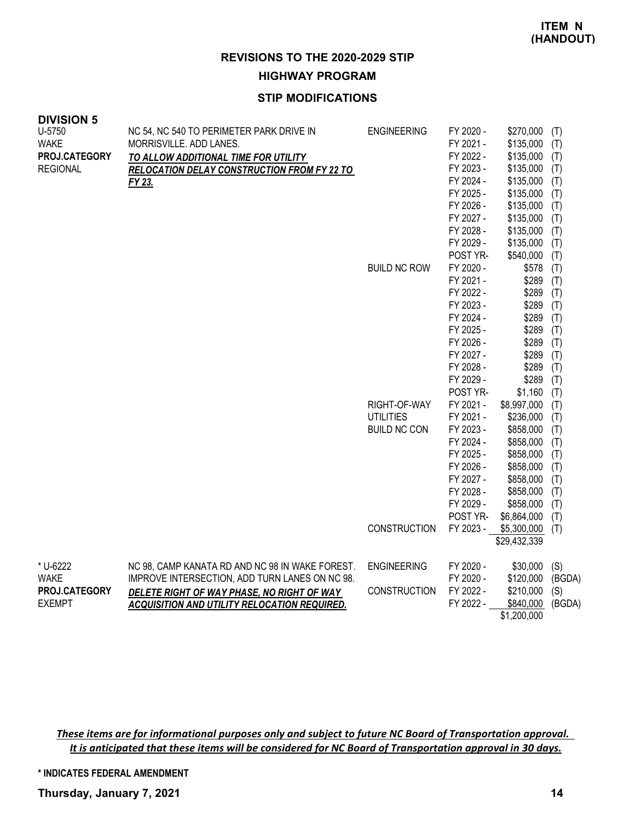### **STIP MODIFICATIONS**

| <b>DIVISIUN 5</b><br>U-5750<br><b>WAKE</b><br>PROJ.CATEGORY<br><b>REGIONAL</b> | NC 54, NC 540 TO PERIMETER PARK DRIVE IN<br>MORRISVILLE. ADD LANES.<br>TO ALLOW ADDITIONAL TIME FOR UTILITY<br>RELOCATION DELAY CONSTRUCTION FROM FY 22 TO<br>FY 23.                            | <b>ENGINEERING</b><br><b>BUILD NC ROW</b>               | FY 2020 -<br>FY 2021 -<br>FY 2022 -<br>FY 2023 -<br>FY 2024 -<br>FY 2025 -<br>FY 2026 -<br>FY 2027 -<br>FY 2028 -<br>FY 2029 -<br>POST YR-<br>FY 2020 -<br>FY 2021 -<br>FY 2022 -<br>FY 2023 - | \$270,000<br>\$135,000<br>\$135,000<br>\$135,000<br>\$135,000<br>\$135,000<br>\$135,000<br>\$135,000<br>\$135,000<br>\$135,000<br>\$540,000<br>\$578<br>\$289<br>\$289<br>\$289 | (T)<br>(T)<br>(T)<br>(T)<br>(T)<br>(T)<br>(T)<br>(T)<br>(T)<br>(T)<br>(T)<br>(T)<br>(T)<br>(T)<br>(T) |
|--------------------------------------------------------------------------------|-------------------------------------------------------------------------------------------------------------------------------------------------------------------------------------------------|---------------------------------------------------------|------------------------------------------------------------------------------------------------------------------------------------------------------------------------------------------------|---------------------------------------------------------------------------------------------------------------------------------------------------------------------------------|-------------------------------------------------------------------------------------------------------|
|                                                                                |                                                                                                                                                                                                 |                                                         | FY 2024 -<br>FY 2025 -<br>FY 2026 -<br>FY 2027 -<br>FY 2028 -<br>FY 2029 -<br>POST YR-                                                                                                         | \$289<br>\$289<br>\$289<br>\$289<br>\$289<br>\$289<br>\$1,160                                                                                                                   | (T)<br>(T)<br>(T)<br>(T)<br>(T)<br>(T)<br>(T)                                                         |
|                                                                                |                                                                                                                                                                                                 | RIGHT-OF-WAY<br><b>UTILITIES</b><br><b>BUILD NC CON</b> | FY 2021 -<br>FY 2021 -<br>FY 2023 -<br>FY 2024 -<br>FY 2025 -<br>FY 2026 -<br>FY 2027 -<br>FY 2028 -<br>FY 2029 -<br>POST YR-                                                                  | \$8,997,000<br>\$236,000<br>\$858,000<br>\$858,000<br>\$858,000<br>\$858,000<br>\$858,000<br>\$858,000<br>\$858,000<br>\$6,864,000                                              | (T)<br>(T)<br>(T)<br>(T)<br>(T)<br>(T)<br>(T)<br>(T)<br>(T)<br>(T)                                    |
|                                                                                |                                                                                                                                                                                                 | <b>CONSTRUCTION</b>                                     | FY 2023 -                                                                                                                                                                                      | \$5,300,000<br>\$29,432,339                                                                                                                                                     | (T)                                                                                                   |
| * U-6222<br><b>WAKE</b><br><b>PROJ.CATEGORY</b><br><b>EXEMPT</b>               | NC 98, CAMP KANATA RD AND NC 98 IN WAKE FOREST.<br>IMPROVE INTERSECTION, ADD TURN LANES ON NC 98.<br>DELETE RIGHT OF WAY PHASE, NO RIGHT OF WAY<br>ACQUISITION AND UTILITY RELOCATION REQUIRED. | <b>ENGINEERING</b><br><b>CONSTRUCTION</b>               | FY 2020 -<br>FY 2020 -<br>FY 2022 -<br>FY 2022 -                                                                                                                                               | \$30,000<br>\$120,000<br>\$210,000<br>\$840,000<br>\$1,200,000                                                                                                                  | (S)<br>(BGDA)<br>(S)<br>(BGDA)                                                                        |

*These items are for informational purposes only and subject to future NC Board of Transportation approval. It is anticipated that these items will be considered for NC Board of Transportation approval in 30 days.*

**\* INDICATES FEDERAL AMENDMENT**

**Thursday, January 7, 2021 14**

**DIVISION 5**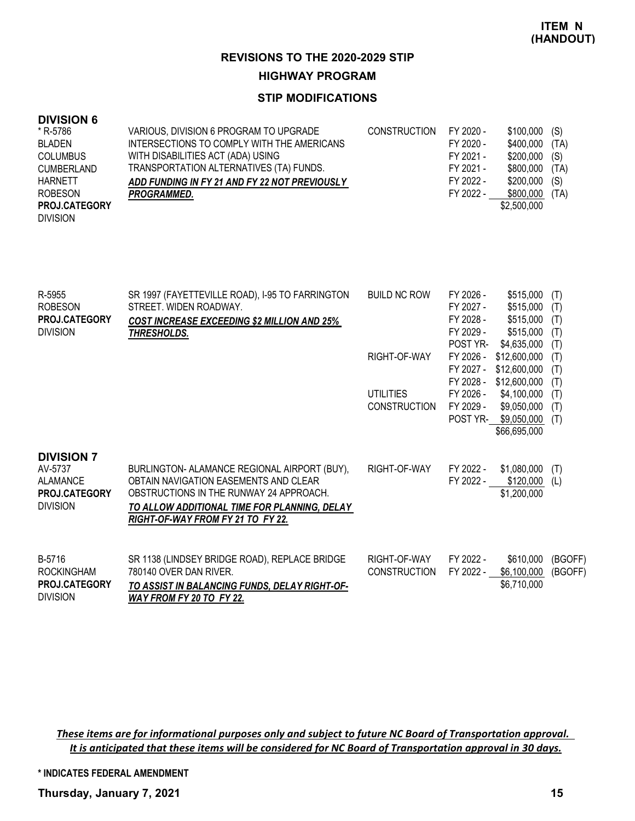### **STIP MODIFICATIONS**

### **DIVISION 6**

| * R-5786             | VARIOUS, DIVISION 6 PROGRAM TO UPGRADE        | <b>CONSTRUCTION</b> | FY 2020 - | \$100,000      | (S)  |
|----------------------|-----------------------------------------------|---------------------|-----------|----------------|------|
| <b>BLADEN</b>        | INTERSECTIONS TO COMPLY WITH THE AMERICANS    |                     | FY 2020 - | \$400,000      | (TA) |
| <b>COLUMBUS</b>      | WITH DISABILITIES ACT (ADA) USING             |                     | FY 2021 - | $$200,000$ (S) |      |
| <b>CUMBERLAND</b>    | TRANSPORTATION ALTERNATIVES (TA) FUNDS.       |                     | FY 2021 - | \$800.000      | (TA) |
| <b>HARNETT</b>       | ADD FUNDING IN FY 21 AND FY 22 NOT PREVIOUSLY |                     | FY 2022 - | \$200,000      | (S)  |
| <b>ROBESON</b>       | <b>PROGRAMMED.</b>                            |                     | FY 2022 - | \$800,000      | (TA) |
| <b>PROJ.CATEGORY</b> |                                               |                     |           | \$2,500,000    |      |
| <b>DIVISION</b>      |                                               |                     |           |                |      |

| R-5955<br><b>ROBESON</b><br><b>PROJ.CATEGORY</b><br><b>DIVISION</b>                 | SR 1997 (FAYETTEVILLE ROAD), I-95 TO FARRINGTON<br>STREET. WIDEN ROADWAY.<br><b>COST INCREASE EXCEEDING \$2 MILLION AND 25%</b><br>THRESHOLDS.                                                                        | <b>BUILD NC ROW</b>                     | FY 2026 -<br>FY 2027 -<br>FY 2028 -<br>FY 2029 -<br><b>POST YR-</b> | \$515,000<br>\$515,000<br>\$515,000<br>\$515,000<br>\$4,635,000 | (T)<br>(T)<br>(T)<br>(T)<br>(T) |
|-------------------------------------------------------------------------------------|-----------------------------------------------------------------------------------------------------------------------------------------------------------------------------------------------------------------------|-----------------------------------------|---------------------------------------------------------------------|-----------------------------------------------------------------|---------------------------------|
|                                                                                     |                                                                                                                                                                                                                       | RIGHT-OF-WAY                            | FY 2026 -<br>FY 2027 -<br>FY 2028 -                                 | \$12,600,000<br>\$12,600,000<br>\$12,600,000                    | (T)<br>(T)<br>(T)               |
|                                                                                     |                                                                                                                                                                                                                       | <b>UTILITIES</b><br><b>CONSTRUCTION</b> | FY 2026 -<br>FY 2029 -<br>POST YR-                                  | \$4,100,000<br>\$9,050,000<br>\$9,050,000<br>\$66,695,000       | (T)<br>(T)<br>(T)               |
| <b>DIVISION 7</b><br>AV-5737<br>ALAMANCE<br><b>PROJ.CATEGORY</b><br><b>DIVISION</b> | BURLINGTON- ALAMANCE REGIONAL AIRPORT (BUY),<br>OBTAIN NAVIGATION EASEMENTS AND CLEAR<br>OBSTRUCTIONS IN THE RUNWAY 24 APPROACH.<br>TO ALLOW ADDITIONAL TIME FOR PLANNING. DELAY<br>RIGHT-OF-WAY FROM FY 21 TO FY 22. | RIGHT-OF-WAY                            | FY 2022 -<br>FY 2022 -                                              | \$1,080,000<br>\$120,000<br>\$1,200,000                         | (T)<br>(L)                      |
| B-5716<br><b>ROCKINGHAM</b><br><b>PROJ.CATEGORY</b><br><b>DIVISION</b>              | SR 1138 (LINDSEY BRIDGE ROAD), REPLACE BRIDGE<br>780140 OVER DAN RIVER.<br>TO ASSIST IN BALANCING FUNDS, DELAY RIGHT-OF-<br>WAY FROM FY 20 TO FY 22.                                                                  | RIGHT-OF-WAY<br><b>CONSTRUCTION</b>     | FY 2022 -<br>FY 2022 -                                              | \$610,000<br>\$6,100,000<br>\$6,710,000                         | (BGOFF)<br>(BGOFF)              |

*These items are for informational purposes only and subject to future NC Board of Transportation approval. It is anticipated that these items will be considered for NC Board of Transportation approval in 30 days.*

**\* INDICATES FEDERAL AMENDMENT**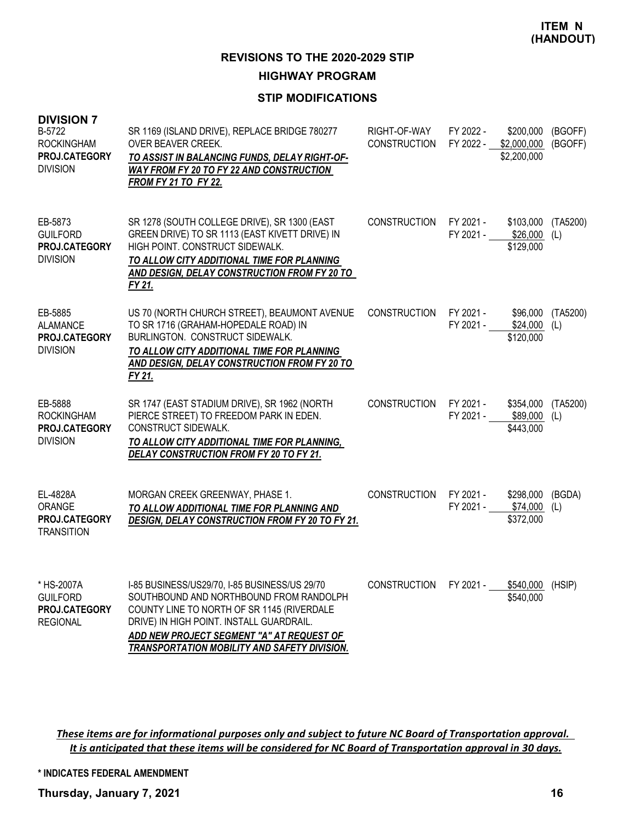### **STIP MODIFICATIONS**

| <b>DIVISION 7</b><br>B-5722<br><b>ROCKINGHAM</b><br>PROJ.CATEGORY<br><b>DIVISION</b> | SR 1169 (ISLAND DRIVE), REPLACE BRIDGE 780277<br>OVER BEAVER CREEK.<br>TO ASSIST IN BALANCING FUNDS, DELAY RIGHT-OF-<br>WAY FROM FY 20 TO FY 22 AND CONSTRUCTION<br><b>FROM FY 21 TO FY 22.</b>                                                                                 | RIGHT-OF-WAY<br><b>CONSTRUCTION</b> | FY 2022 -<br>FY 2022 - \$2,000,000  | \$200,000<br>\$2,200,000                | (BGOFF)<br>(BGOFF) |
|--------------------------------------------------------------------------------------|---------------------------------------------------------------------------------------------------------------------------------------------------------------------------------------------------------------------------------------------------------------------------------|-------------------------------------|-------------------------------------|-----------------------------------------|--------------------|
| EB-5873<br><b>GUILFORD</b><br>PROJ.CATEGORY<br><b>DIVISION</b>                       | SR 1278 (SOUTH COLLEGE DRIVE), SR 1300 (EAST<br>GREEN DRIVE) TO SR 1113 (EAST KIVETT DRIVE) IN<br>HIGH POINT. CONSTRUCT SIDEWALK.<br>TO ALLOW CITY ADDITIONAL TIME FOR PLANNING<br>AND DESIGN, DELAY CONSTRUCTION FROM FY 20 TO<br>FY 21.                                       | <b>CONSTRUCTION</b>                 | FY 2021 -<br>FY 2021 - \$26,000 (L) | \$103,000<br>\$129,000                  | (TA5200)           |
| EB-5885<br><b>ALAMANCE</b><br>PROJ.CATEGORY<br><b>DIVISION</b>                       | US 70 (NORTH CHURCH STREET), BEAUMONT AVENUE<br>TO SR 1716 (GRAHAM-HOPEDALE ROAD) IN<br>BURLINGTON. CONSTRUCT SIDEWALK.<br>TO ALLOW CITY ADDITIONAL TIME FOR PLANNING<br>AND DESIGN, DELAY CONSTRUCTION FROM FY 20 TO<br>FY 21.                                                 | CONSTRUCTION                        | FY 2021 -<br>FY 2021 -              | \$96,000<br>\$24,000<br>\$120,000       | (TA5200)<br>(L)    |
| EB-5888<br><b>ROCKINGHAM</b><br><b>PROJ.CATEGORY</b><br><b>DIVISION</b>              | SR 1747 (EAST STADIUM DRIVE), SR 1962 (NORTH<br>PIERCE STREET) TO FREEDOM PARK IN EDEN.<br>CONSTRUCT SIDEWALK.<br>TO ALLOW CITY ADDITIONAL TIME FOR PLANNING,<br>DELAY CONSTRUCTION FROM FY 20 TO FY 21.                                                                        | <b>CONSTRUCTION</b>                 | FY 2021 -<br>FY 2021 -              | \$354,000<br>\$89,000 (L)<br>\$443,000  | (TA5200)           |
| EL-4828A<br>ORANGE<br>PROJ.CATEGORY<br><b>TRANSITION</b>                             | MORGAN CREEK GREENWAY, PHASE 1.<br>TO ALLOW ADDITIONAL TIME FOR PLANNING AND<br>DESIGN, DELAY CONSTRUCTION FROM FY 20 TO FY 21.                                                                                                                                                 | <b>CONSTRUCTION</b>                 | FY 2021 -<br>FY 2021 -              | \$298,000<br>$$74,000$ (L)<br>\$372,000 | (BGDA)             |
| * HS-2007A<br><b>GUILFORD</b><br>PROJ.CATEGORY<br><b>REGIONAL</b>                    | I-85 BUSINESS/US29/70, I-85 BUSINESS/US 29/70<br>SOUTHBOUND AND NORTHBOUND FROM RANDOLPH<br>COUNTY LINE TO NORTH OF SR 1145 (RIVERDALE<br>DRIVE) IN HIGH POINT. INSTALL GUARDRAIL.<br>ADD NEW PROJECT SEGMENT "A" AT REQUEST OF<br>TRANSPORTATION MOBILITY AND SAFETY DIVISION. | <b>CONSTRUCTION</b>                 | FY 2021 -                           | \$540,000 (HSIP)<br>\$540,000           |                    |

*These items are for informational purposes only and subject to future NC Board of Transportation approval. It is anticipated that these items will be considered for NC Board of Transportation approval in 30 days.*

**\* INDICATES FEDERAL AMENDMENT**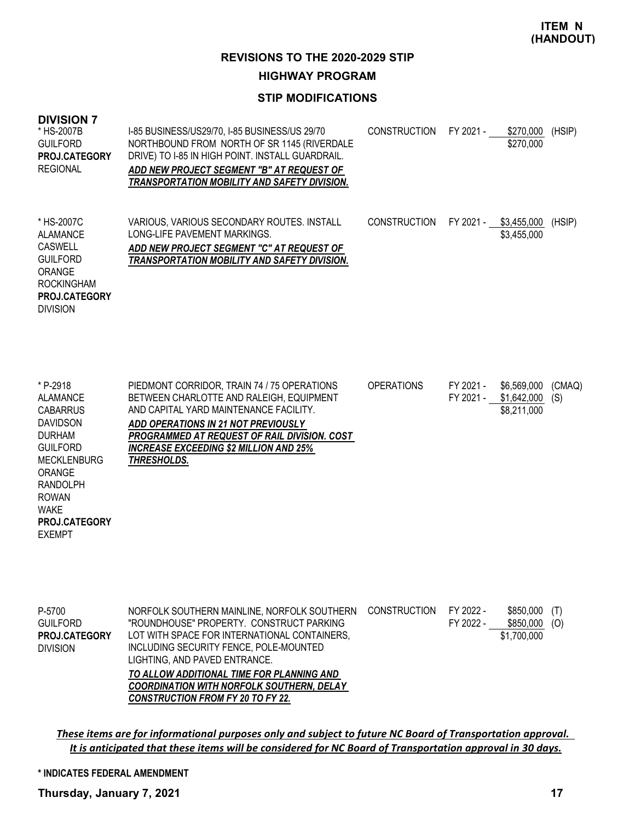### **STIP MODIFICATIONS**

| <b>DIVISION 7</b><br>* HS-2007B<br><b>GUILFORD</b><br>PROJ.CATEGORY<br><b>REGIONAL</b>                                                                                                                                    | I-85 BUSINESS/US29/70, I-85 BUSINESS/US 29/70<br>NORTHBOUND FROM NORTH OF SR 1145 (RIVERDALE<br>DRIVE) TO I-85 IN HIGH POINT. INSTALL GUARDRAIL.<br>ADD NEW PROJECT SEGMENT "B" AT REQUEST OF<br>TRANSPORTATION MOBILITY AND SAFETY DIVISION.                                                                                                                   | <b>CONSTRUCTION</b> | FY 2021 -              | \$270,000<br>\$270,000                              | (HSIP)        |
|---------------------------------------------------------------------------------------------------------------------------------------------------------------------------------------------------------------------------|-----------------------------------------------------------------------------------------------------------------------------------------------------------------------------------------------------------------------------------------------------------------------------------------------------------------------------------------------------------------|---------------------|------------------------|-----------------------------------------------------|---------------|
| * HS-2007C<br><b>ALAMANCE</b><br><b>CASWELL</b><br><b>GUILFORD</b><br>ORANGE<br><b>ROCKINGHAM</b><br>PROJ.CATEGORY<br><b>DIVISION</b>                                                                                     | VARIOUS, VARIOUS SECONDARY ROUTES. INSTALL<br>LONG-LIFE PAVEMENT MARKINGS.<br>ADD NEW PROJECT SEGMENT "C" AT REQUEST OF<br><b>TRANSPORTATION MOBILITY AND SAFETY DIVISION.</b>                                                                                                                                                                                  | <b>CONSTRUCTION</b> |                        | FY 2021 - \$3,455,000<br>\$3,455,000                | (HSIP)        |
| * P-2918<br><b>ALAMANCE</b><br><b>CABARRUS</b><br><b>DAVIDSON</b><br><b>DURHAM</b><br><b>GUILFORD</b><br><b>MECKLENBURG</b><br>ORANGE<br><b>RANDOLPH</b><br><b>ROWAN</b><br><b>WAKE</b><br>PROJ.CATEGORY<br><b>EXEMPT</b> | PIEDMONT CORRIDOR, TRAIN 74 / 75 OPERATIONS<br>BETWEEN CHARLOTTE AND RALEIGH, EQUIPMENT<br>AND CAPITAL YARD MAINTENANCE FACILITY.<br>ADD OPERATIONS IN 21 NOT PREVIOUSLY<br>PROGRAMMED AT REQUEST OF RAIL DIVISION. COST<br><b>INCREASE EXCEEDING \$2 MILLION AND 25%</b><br>THRESHOLDS.                                                                        | <b>OPERATIONS</b>   | FY 2021 -              | \$6,569,000<br>FY 2021 - \$1,642,000<br>\$8,211,000 | (CMAQ)<br>(S) |
| P-5700<br><b>GUILFORD</b><br>PROJ.CATEGORY<br><b>DIVISION</b>                                                                                                                                                             | NORFOLK SOUTHERN MAINLINE, NORFOLK SOUTHERN<br>"ROUNDHOUSE" PROPERTY. CONSTRUCT PARKING<br>LOT WITH SPACE FOR INTERNATIONAL CONTAINERS,<br>INCLUDING SECURITY FENCE, POLE-MOUNTED<br>LIGHTING, AND PAVED ENTRANCE.<br>TO ALLOW ADDITIONAL TIME FOR PLANNING AND<br><b>COORDINATION WITH NORFOLK SOUTHERN, DELAY</b><br><b>CONSTRUCTION FROM FY 20 TO FY 22.</b> | <b>CONSTRUCTION</b> | FY 2022 -<br>FY 2022 - | \$850,000<br>$$850,000$ (O)<br>\$1,700,000          | (T)           |

*These items are for informational purposes only and subject to future NC Board of Transportation approval. It is anticipated that these items will be considered for NC Board of Transportation approval in 30 days.*

#### **\* INDICATES FEDERAL AMENDMENT**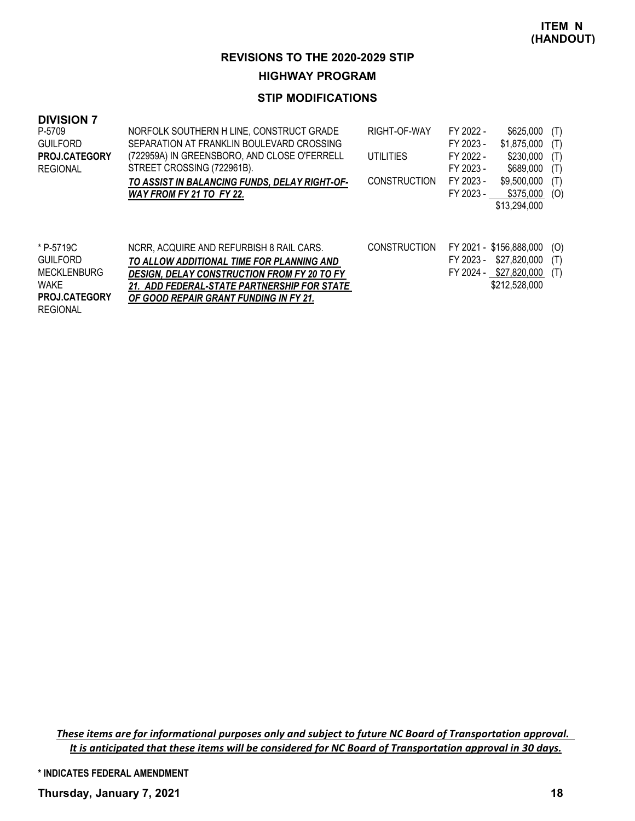### **STIP MODIFICATIONS**

| <b>DIVISION 7</b>    |                                                    |                     |           |                         |     |
|----------------------|----------------------------------------------------|---------------------|-----------|-------------------------|-----|
| P-5709               | NORFOLK SOUTHERN H LINE, CONSTRUCT GRADE           | RIGHT-OF-WAY        | FY 2022 - | \$625,000               | (T) |
| <b>GUILFORD</b>      | SEPARATION AT FRANKLIN BOULEVARD CROSSING          |                     | FY 2023 - | \$1.875,000             | (T) |
| <b>PROJ.CATEGORY</b> | (722959A) IN GREENSBORO, AND CLOSE O'FERRELL       | UTILITIES           | FY 2022 - | \$230,000               | (T) |
| <b>REGIONAL</b>      | STREET CROSSING (722961B).                         |                     | FY 2023 - | \$689,000               | (T) |
|                      | TO ASSIST IN BALANCING FUNDS, DELAY RIGHT-OF-      | <b>CONSTRUCTION</b> | FY 2023 - | \$9,500,000             | (T) |
|                      | WAY FROM FY 21 TO FY 22.                           |                     | FY 2023 - | \$375,000               | (O) |
|                      |                                                    |                     |           | \$13,294,000            |     |
|                      |                                                    |                     |           |                         |     |
| * P-5719C            | NCRR, ACQUIRE AND REFURBISH 8 RAIL CARS.           | <b>CONSTRUCTION</b> |           | FY 2021 - \$156,888,000 | (O) |
| <b>GUILFORD</b>      | TO ALLOW ADDITIONAL TIME FOR PLANNING AND          |                     | FY 2023 - | \$27,820,000            | (T) |
| <b>MECKLENBURG</b>   | <b>DESIGN, DELAY CONSTRUCTION FROM FY 20 TO FY</b> |                     |           | FY 2024 - \$27,820,000  | (T) |
| <b>WAKE</b>          | 21. ADD FEDERAL-STATE PARTNERSHIP FOR STATE        |                     |           | \$212,528,000           |     |
| <b>PROJ.CATEGORY</b> | OF GOOD REPAIR GRANT FUNDING IN FY 21.             |                     |           |                         |     |
| <b>REGIONAL</b>      |                                                    |                     |           |                         |     |

*These items are for informational purposes only and subject to future NC Board of Transportation approval. It is anticipated that these items will be considered for NC Board of Transportation approval in 30 days.*

**\* INDICATES FEDERAL AMENDMENT**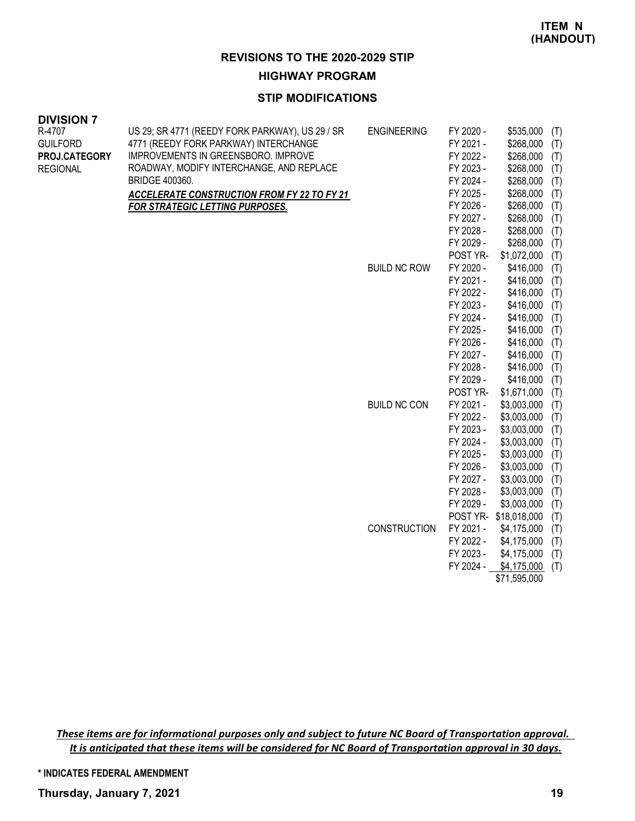#### **STIP MODIFICATIONS**

| <u>ז משוטועוש</u><br>R-4707<br><b>GUILFORD</b><br>PROJ.CATEGORY<br><b>REGIONAL</b> | US 29; SR 4771 (REEDY FORK PARKWAY), US 29 / SR<br>4771 (REEDY FORK PARKWAY) INTERCHANGE<br>IMPROVEMENTS IN GREENSBORO. IMPROVE<br>ROADWAY, MODIFY INTERCHANGE, AND REPLACE<br><b>BRIDGE 400360.</b><br><b>ACCELERATE CONSTRUCTION FROM FY 22 TO FY 21</b><br>FOR STRATEGIC LETTING PURPOSES. | <b>ENGINEERING</b>  | FY 2020 -<br>FY 2021 -<br>FY 2022 -<br>FY 2023 -<br>FY 2024 -<br>FY 2025 -<br>FY 2026 -<br>FY 2027 -<br>FY 2028 -<br>FY 2029 -<br>POST YR- | $$535,000$ (T)<br>$$268,000$ (T)<br>\$268,000<br>\$268,000<br>\$268,000<br>\$268,000<br>\$268,000<br>\$268,000<br>\$268,000<br>\$268,000<br>\$1,072,000 | (T)<br>(T)<br>(T)<br>(T)<br>(T)<br>(T)<br>(T)<br>(T) |
|------------------------------------------------------------------------------------|-----------------------------------------------------------------------------------------------------------------------------------------------------------------------------------------------------------------------------------------------------------------------------------------------|---------------------|--------------------------------------------------------------------------------------------------------------------------------------------|---------------------------------------------------------------------------------------------------------------------------------------------------------|------------------------------------------------------|
|                                                                                    |                                                                                                                                                                                                                                                                                               | <b>BUILD NC ROW</b> | FY 2020 -<br>FY 2021 -                                                                                                                     | \$416,000<br>\$416,000                                                                                                                                  | (T)<br>(T)<br>(T)                                    |
|                                                                                    |                                                                                                                                                                                                                                                                                               |                     | FY 2022 -<br>FY 2023 -<br>FY 2024 -                                                                                                        | \$416,000<br>$$416,000$ (T)                                                                                                                             | (T)                                                  |
|                                                                                    |                                                                                                                                                                                                                                                                                               |                     | FY 2025 -                                                                                                                                  | $$416,000$ (T)<br>$$416,000$ (T)                                                                                                                        |                                                      |
|                                                                                    |                                                                                                                                                                                                                                                                                               |                     | FY 2026 -                                                                                                                                  | $$416,000$ (T)                                                                                                                                          |                                                      |
|                                                                                    |                                                                                                                                                                                                                                                                                               |                     | FY 2027 -                                                                                                                                  | $$416,000$ (T)                                                                                                                                          |                                                      |
|                                                                                    |                                                                                                                                                                                                                                                                                               |                     | FY 2028 -                                                                                                                                  | $$416,000$ (T)                                                                                                                                          |                                                      |
|                                                                                    |                                                                                                                                                                                                                                                                                               |                     | FY 2029 -                                                                                                                                  | \$416,000                                                                                                                                               | (T)                                                  |
|                                                                                    |                                                                                                                                                                                                                                                                                               |                     | POST YR-                                                                                                                                   | \$1,671,000                                                                                                                                             | (T)                                                  |
|                                                                                    |                                                                                                                                                                                                                                                                                               | <b>BUILD NC CON</b> | FY 2021 -                                                                                                                                  | \$3,003,000                                                                                                                                             | (T)                                                  |
|                                                                                    |                                                                                                                                                                                                                                                                                               |                     | FY 2022 -                                                                                                                                  | \$3,003,000                                                                                                                                             | (T)                                                  |
|                                                                                    |                                                                                                                                                                                                                                                                                               |                     | FY 2023 -                                                                                                                                  | \$3,003,000                                                                                                                                             | (T)                                                  |
|                                                                                    |                                                                                                                                                                                                                                                                                               |                     | FY 2024 -                                                                                                                                  | \$3,003,000                                                                                                                                             | (T)                                                  |
|                                                                                    |                                                                                                                                                                                                                                                                                               |                     | FY 2025 -                                                                                                                                  | \$3,003,000                                                                                                                                             | (T)                                                  |
|                                                                                    |                                                                                                                                                                                                                                                                                               |                     | FY 2026 -                                                                                                                                  | \$3,003,000                                                                                                                                             | (T)                                                  |
|                                                                                    |                                                                                                                                                                                                                                                                                               |                     | FY 2027 -                                                                                                                                  | \$3,003,000                                                                                                                                             | (T)                                                  |
|                                                                                    |                                                                                                                                                                                                                                                                                               |                     | FY 2028 -                                                                                                                                  | \$3,003,000                                                                                                                                             | (T)                                                  |
|                                                                                    |                                                                                                                                                                                                                                                                                               |                     | FY 2029 -                                                                                                                                  | \$3,003,000                                                                                                                                             | (T)                                                  |
|                                                                                    |                                                                                                                                                                                                                                                                                               |                     |                                                                                                                                            | POST YR-\$18,018,000                                                                                                                                    | (T)                                                  |
|                                                                                    |                                                                                                                                                                                                                                                                                               | <b>CONSTRUCTION</b> | FY 2021 -                                                                                                                                  | \$4,175,000                                                                                                                                             | (T)                                                  |
|                                                                                    |                                                                                                                                                                                                                                                                                               |                     | FY 2022 -                                                                                                                                  | \$4,175,000                                                                                                                                             | (T)                                                  |
|                                                                                    |                                                                                                                                                                                                                                                                                               |                     | FY 2023 -                                                                                                                                  | \$4,175,000                                                                                                                                             | (T)                                                  |

FY 2024 - \$4,175,000 (T) \$71,595,000

*These items are for informational purposes only and subject to future NC Board of Transportation approval. It is anticipated that these items will be considered for NC Board of Transportation approval in 30 days.*

**\* INDICATES FEDERAL AMENDMENT**

**DIVISION 7**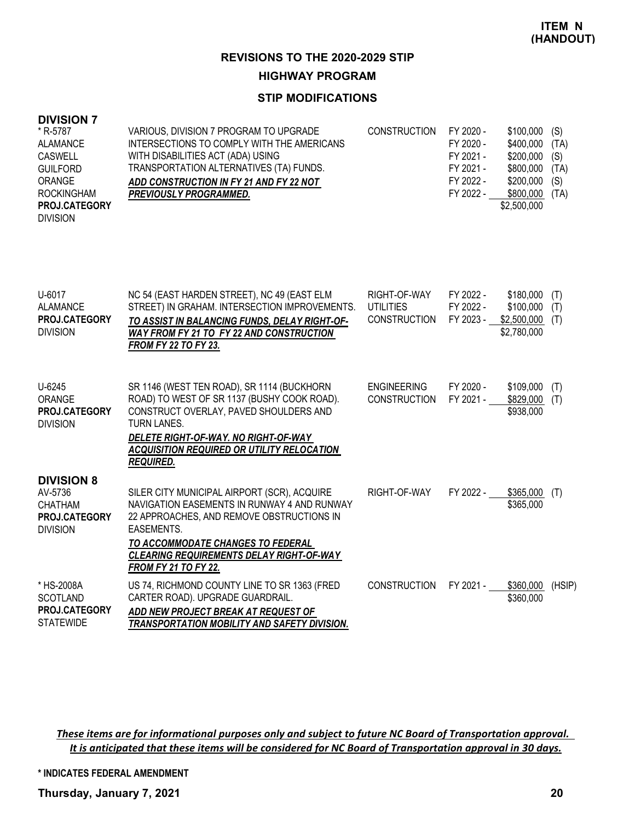### **STIP MODIFICATIONS**

#### **DIVISION 7**

| * R-5787             | VARIOUS, DIVISION 7 PROGRAM TO UPGRADE     | <b>CONSTRUCTION</b> | FY 2020 - | $$100,000$ (S) |      |
|----------------------|--------------------------------------------|---------------------|-----------|----------------|------|
| <b>ALAMANCE</b>      | INTERSECTIONS TO COMPLY WITH THE AMERICANS |                     | FY 2020 - | \$400,000      | (TA) |
| <b>CASWELL</b>       | WITH DISABILITIES ACT (ADA) USING          |                     | FY 2021 - | $$200,000$ (S) |      |
| <b>GUILFORD</b>      | TRANSPORTATION ALTERNATIVES (TA) FUNDS.    |                     | FY 2021 - | \$800,000      | (TA) |
| ORANGE               | ADD CONSTRUCTION IN FY 21 AND FY 22 NOT    |                     | FY 2022 - | \$200,000      | (S)  |
| <b>ROCKINGHAM</b>    | <b>PREVIOUSLY PROGRAMMED.</b>              |                     | FY 2022 - | \$800,000      | (TA) |
| <b>PROJ.CATEGORY</b> |                                            |                     |           | \$2,500,000    |      |
| <b>DIVISION</b>      |                                            |                     |           |                |      |

| U-6017<br><b>ALAMANCE</b><br><b>PROJ.CATEGORY</b><br><b>DIVISION</b>               | NC 54 (EAST HARDEN STREET), NC 49 (EAST ELM<br>STREET) IN GRAHAM. INTERSECTION IMPROVEMENTS.<br>TO ASSIST IN BALANCING FUNDS, DELAY RIGHT-OF-<br><b>WAY FROM FY 21 TO FY 22 AND CONSTRUCTION</b><br><b>FROM FY 22 TO FY 23.</b>                                       | RIGHT-OF-WAY<br><b>UTILITIES</b><br>CONSTRUCTION | FY 2022 -<br>FY 2022 -<br>FY 2023 - | \$180,000<br>\$100,000<br>\$2,500,000<br>\$2,780,000 | (T)<br>(T)<br>(T) |
|------------------------------------------------------------------------------------|-----------------------------------------------------------------------------------------------------------------------------------------------------------------------------------------------------------------------------------------------------------------------|--------------------------------------------------|-------------------------------------|------------------------------------------------------|-------------------|
| U-6245<br>ORANGE<br>PROJ.CATEGORY<br><b>DIVISION</b>                               | SR 1146 (WEST TEN ROAD), SR 1114 (BUCKHORN<br>ROAD) TO WEST OF SR 1137 (BUSHY COOK ROAD).<br>CONSTRUCT OVERLAY, PAVED SHOULDERS AND<br><b>TURN LANES.</b><br>DELETE RIGHT-OF-WAY. NO RIGHT-OF-WAY<br>ACQUISITION REQUIRED OR UTILITY RELOCATION<br>REQUIRED.          | <b>ENGINEERING</b><br><b>CONSTRUCTION</b>        | FY 2020 -<br>FY 2021 -              | \$109,000<br>\$829,000<br>\$938,000                  | (T)<br>(T)        |
| <b>DIVISION 8</b><br>AV-5736<br><b>CHATHAM</b><br>PROJ.CATEGORY<br><b>DIVISION</b> | SILER CITY MUNICIPAL AIRPORT (SCR), ACQUIRE<br>NAVIGATION EASEMENTS IN RUNWAY 4 AND RUNWAY<br>22 APPROACHES, AND REMOVE OBSTRUCTIONS IN<br>EASEMENTS.<br>TO ACCOMMODATE CHANGES TO FEDERAL<br>CLEARING REQUIREMENTS DELAY RIGHT-OF-WAY<br><b>FROM FY 21 TO FY 22.</b> | RIGHT-OF-WAY                                     | FY 2022 -                           | \$365,000<br>\$365,000                               | (T)               |
| * HS-2008A<br><b>SCOTLAND</b><br><b>PROJ.CATEGORY</b><br><b>STATEWIDE</b>          | US 74, RICHMOND COUNTY LINE TO SR 1363 (FRED<br>CARTER ROAD). UPGRADE GUARDRAIL.<br>ADD NEW PROJECT BREAK AT REQUEST OF<br>TRANSPORTATION MOBILITY AND SAFETY DIVISION.                                                                                               | <b>CONSTRUCTION</b>                              | FY 2021 -                           | \$360,000<br>\$360,000                               | (HSIP)            |

*These items are for informational purposes only and subject to future NC Board of Transportation approval. It is anticipated that these items will be considered for NC Board of Transportation approval in 30 days.*

**\* INDICATES FEDERAL AMENDMENT**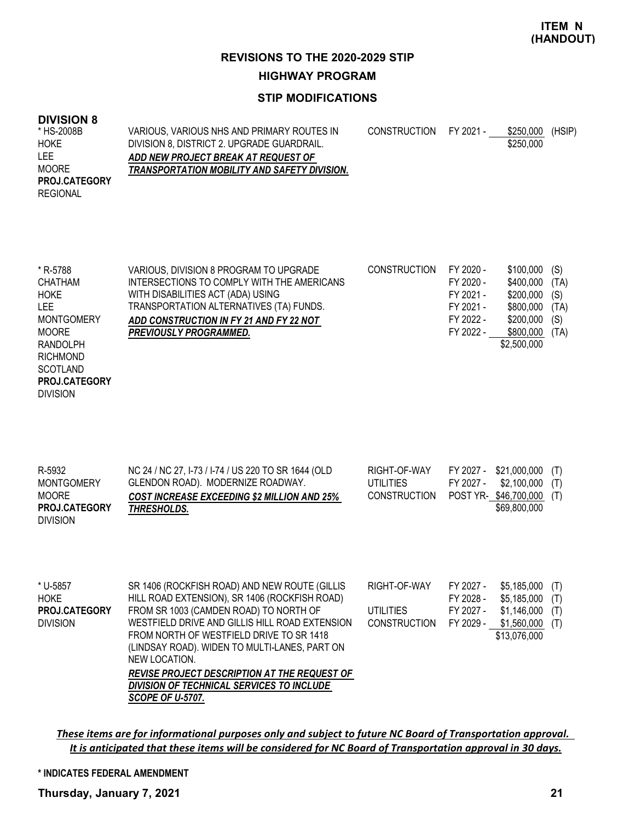## **STIP MODIFICATIONS**

#### **DIVISION 8**

DIVISION

| * HS-2008B           | VARIOUS. VARIOUS NHS AND PRIMARY ROUTES IN   | CONSTRUCTION FY 2021 - | \$250.000 | (HSIP) |
|----------------------|----------------------------------------------|------------------------|-----------|--------|
| <b>HOKE</b>          | DIVISION 8, DISTRICT 2. UPGRADE GUARDRAIL.   |                        | \$250,000 |        |
| <b>LEE</b>           | ADD NEW PROJECT BREAK AT REQUEST OF          |                        |           |        |
| <b>MOORE</b>         | TRANSPORTATION MOBILITY AND SAFETY DIVISION. |                        |           |        |
| <b>PROJ.CATEGORY</b> |                                              |                        |           |        |
| <b>REGIONAL</b>      |                                              |                        |           |        |

| * R-5788             | VARIOUS, DIVISION 8 PROGRAM TO UPGRADE     | <b>CONSTRUCTION</b> | FY 2020 - | \$100,000   | (S)  |
|----------------------|--------------------------------------------|---------------------|-----------|-------------|------|
| CHATHAM              | INTERSECTIONS TO COMPLY WITH THE AMERICANS |                     | FY 2020 - | \$400,000   | (TA) |
| HOKE                 | WITH DISABILITIES ACT (ADA) USING          |                     | FY 2021 - | \$200,000   | (S)  |
| LEE.                 | TRANSPORTATION ALTERNATIVES (TA) FUNDS.    |                     | FY 2021 - | \$800,000   | (TA) |
| <b>MONTGOMERY</b>    | ADD CONSTRUCTION IN FY 21 AND FY 22 NOT    |                     | FY 2022 - | \$200,000   | (S)  |
| <b>MOORE</b>         | <b>PREVIOUSLY PROGRAMMED.</b>              |                     | FY 2022 - | \$800,000   | (TA) |
| RANDOLPH             |                                            |                     |           | \$2,500,000 |      |
| <b>RICHMOND</b>      |                                            |                     |           |             |      |
| SCOTLAND             |                                            |                     |           |             |      |
| <b>PROJ.CATEGORY</b> |                                            |                     |           |             |      |

| R-5932<br><b>MONTGOMERY</b><br><b>MOORE</b> | NC 24 / NC 27, I-73 / I-74 / US 220 TO SR 1644 (OLD<br>GLENDON ROAD). MODERNIZE ROADWAY.<br><b>COST INCREASE EXCEEDING \$2 MILLION AND 25%</b> | RIGHT-OF-WAY<br>UTILITIES<br><b>CONSTRUCTION</b> | FY 2027 - | FY 2027 - \$21,000,000 (T)<br>\$2,100,000 (T)<br>POST YR-\$46,700,000 (T) |  |
|---------------------------------------------|------------------------------------------------------------------------------------------------------------------------------------------------|--------------------------------------------------|-----------|---------------------------------------------------------------------------|--|
| <b>PROJ.CATEGORY</b><br><b>DIVISION</b>     | THRESHOLDS.                                                                                                                                    |                                                  |           | \$69,800,000                                                              |  |

| * U-5857        | SR 1406 (ROCKFISH ROAD) AND NEW ROUTE (GILLIS       | RIGHT-OF-WAY           | FY 2027 - | \$5.185.000      | (T) |
|-----------------|-----------------------------------------------------|------------------------|-----------|------------------|-----|
| HOKE            | HILL ROAD EXTENSION), SR 1406 (ROCKFISH ROAD)       |                        | FY 2028 - | \$5,185,000      | (T) |
| PROJ.CATEGORY   | FROM SR 1003 (CAMDEN ROAD) TO NORTH OF              | <b>UTILITIES</b>       | FY 2027 - | \$1,146,000      | (T) |
| <b>DIVISION</b> | WESTFIELD DRIVE AND GILLIS HILL ROAD EXTENSION      | CONSTRUCTION FY 2029 - |           | $$1,560,000$ (T) |     |
|                 | FROM NORTH OF WESTFIELD DRIVE TO SR 1418            |                        |           | \$13,076,000     |     |
|                 | (LINDSAY ROAD). WIDEN TO MULTI-LANES, PART ON       |                        |           |                  |     |
|                 | NEW LOCATION.                                       |                        |           |                  |     |
|                 | <b>REVISE PROJECT DESCRIPTION AT THE REQUEST OF</b> |                        |           |                  |     |
|                 | DIVISION OF TECHNICAL SERVICES TO INCLUDE           |                        |           |                  |     |
|                 | <b>SCOPE OF U-5707.</b>                             |                        |           |                  |     |

*These items are for informational purposes only and subject to future NC Board of Transportation approval. It is anticipated that these items will be considered for NC Board of Transportation approval in 30 days.*

#### **\* INDICATES FEDERAL AMENDMENT**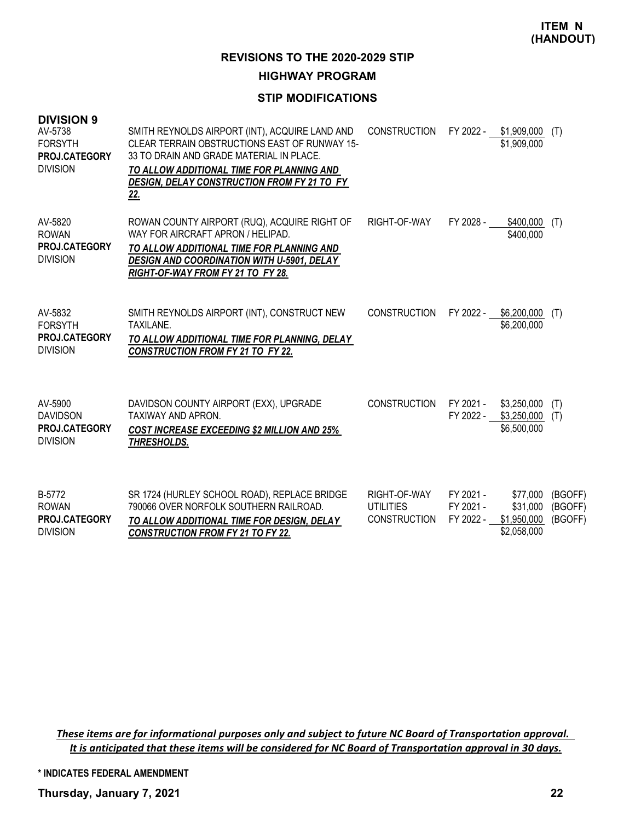### **STIP MODIFICATIONS**

| <b>DIVISION 9</b><br>AV-5738<br><b>FORSYTH</b><br>PROJ.CATEGORY<br><b>DIVISION</b> | SMITH REYNOLDS AIRPORT (INT), ACQUIRE LAND AND<br>CLEAR TERRAIN OBSTRUCTIONS EAST OF RUNWAY 15-<br>33 TO DRAIN AND GRADE MATERIAL IN PLACE.<br>TO ALLOW ADDITIONAL TIME FOR PLANNING AND<br>DESIGN, DELAY CONSTRUCTION FROM FY 21 TO FY<br><u>22.</u> | <b>CONSTRUCTION</b>                                     |                                     | FY 2022 - \$1,909,000 (T)<br>\$1,909,000           |                               |
|------------------------------------------------------------------------------------|-------------------------------------------------------------------------------------------------------------------------------------------------------------------------------------------------------------------------------------------------------|---------------------------------------------------------|-------------------------------------|----------------------------------------------------|-------------------------------|
| AV-5820<br><b>ROWAN</b><br>PROJ.CATEGORY<br><b>DIVISION</b>                        | ROWAN COUNTY AIRPORT (RUQ), ACQUIRE RIGHT OF<br>WAY FOR AIRCRAFT APRON / HELIPAD.<br>TO ALLOW ADDITIONAL TIME FOR PLANNING AND<br><b>DESIGN AND COORDINATION WITH U-5901, DELAY</b><br>RIGHT-OF-WAY FROM FY 21 TO FY 28.                              | RIGHT-OF-WAY                                            | FY 2028 -                           | \$400,000<br>\$400,000                             | (T)                           |
| AV-5832<br><b>FORSYTH</b><br>PROJ.CATEGORY<br><b>DIVISION</b>                      | SMITH REYNOLDS AIRPORT (INT), CONSTRUCT NEW<br><b>TAXILANE.</b><br>TO ALLOW ADDITIONAL TIME FOR PLANNING, DELAY<br><b>CONSTRUCTION FROM FY 21 TO FY 22.</b>                                                                                           | <b>CONSTRUCTION</b>                                     | FY 2022 -                           | \$6,200,000<br>\$6,200,000                         | (T)                           |
| AV-5900<br><b>DAVIDSON</b><br><b>PROJ.CATEGORY</b><br><b>DIVISION</b>              | DAVIDSON COUNTY AIRPORT (EXX), UPGRADE<br><b>TAXIWAY AND APRON.</b><br><b>COST INCREASE EXCEEDING \$2 MILLION AND 25%</b><br>THRESHOLDS.                                                                                                              | <b>CONSTRUCTION</b>                                     | FY 2021 -<br>FY 2022 -              | \$3,250,000<br>\$3,250,000<br>\$6,500,000          | (T)<br>(T)                    |
| B-5772<br><b>ROWAN</b><br>PROJ.CATEGORY<br><b>DIVISION</b>                         | SR 1724 (HURLEY SCHOOL ROAD), REPLACE BRIDGE<br>790066 OVER NORFOLK SOUTHERN RAILROAD.<br>TO ALLOW ADDITIONAL TIME FOR DESIGN, DELAY<br><b>CONSTRUCTION FROM FY 21 TO FY 22.</b>                                                                      | RIGHT-OF-WAY<br><b>UTILITIES</b><br><b>CONSTRUCTION</b> | FY 2021 -<br>FY 2021 -<br>FY 2022 - | \$77,000<br>\$31,000<br>\$1,950,000<br>\$2,058,000 | (BGOFF)<br>(BGOFF)<br>(BGOFF) |

*These items are for informational purposes only and subject to future NC Board of Transportation approval. It is anticipated that these items will be considered for NC Board of Transportation approval in 30 days.*

**\* INDICATES FEDERAL AMENDMENT**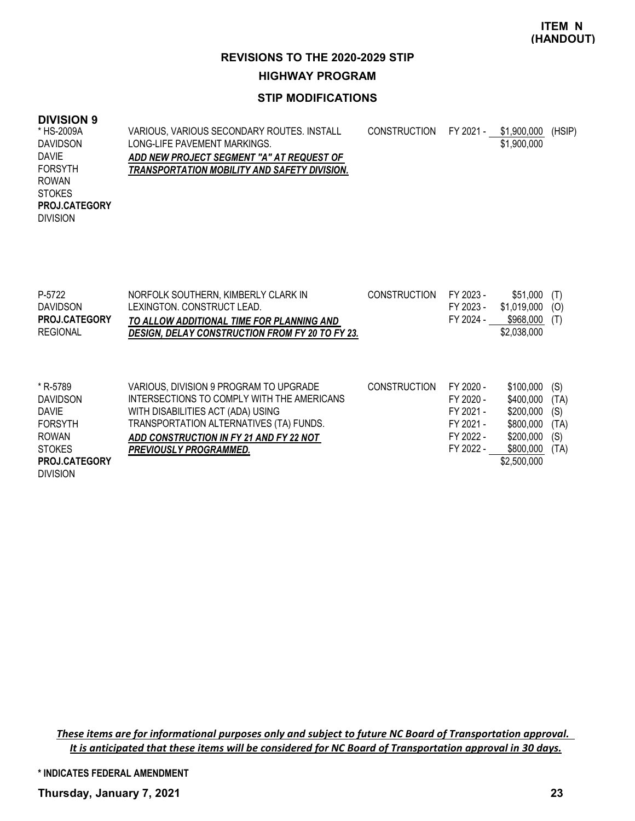### **STIP MODIFICATIONS**

### **DIVISION 9**

DIVISION

VARIOUS, VARIOUS SECONDARY ROUTES. INSTALL LONG-LIFE PAVEMENT MARKINGS. *ADD NEW PROJECT SEGMENT "A" AT REQUEST OF TRANSPORTATION MOBILITY AND SAFETY DIVISION.* CONSTRUCTION FY 2021 - \$1,900,000 (HSIP) \$1,900,000 \* HS-2009A DAVIDSON DAVIE FORSYTH ROWAN STOKES DIVISION **PROJ.CATEGORY**

| P-5722<br><b>DAVIDSON</b><br><b>PROJ.CATEGORY</b><br><b>REGIONAL</b>                    | NORFOLK SOUTHERN, KIMBERLY CLARK IN<br>LEXINGTON, CONSTRUCT LEAD.<br>TO ALLOW ADDITIONAL TIME FOR PLANNING AND<br><b>DESIGN, DELAY CONSTRUCTION FROM FY 20 TO FY 23.</b>                                                                         | <b>CONSTRUCTION</b> | FY 2023 -<br>FY 2023 -<br>FY 2024 -                                        | \$51,000<br>\$1,019,000<br>\$968,000<br>\$2,038,000                        | (T)<br>(O)<br>(T)                         |
|-----------------------------------------------------------------------------------------|--------------------------------------------------------------------------------------------------------------------------------------------------------------------------------------------------------------------------------------------------|---------------------|----------------------------------------------------------------------------|----------------------------------------------------------------------------|-------------------------------------------|
| * R-5789<br><b>DAVIDSON</b><br>DAVIE<br><b>FORSYTH</b><br><b>ROWAN</b><br><b>STOKES</b> | VARIOUS, DIVISION 9 PROGRAM TO UPGRADE<br>INTERSECTIONS TO COMPLY WITH THE AMERICANS<br>WITH DISABILITIES ACT (ADA) USING<br>TRANSPORTATION ALTERNATIVES (TA) FUNDS.<br>ADD CONSTRUCTION IN FY 21 AND FY 22 NOT<br><b>PREVIOUSLY PROGRAMMED.</b> | <b>CONSTRUCTION</b> | FY 2020 -<br>FY 2020 -<br>FY 2021 -<br>FY 2021 -<br>FY 2022 -<br>FY 2022 - | \$100,000<br>\$400,000<br>\$200,000<br>\$800,000<br>\$200,000<br>\$800,000 | (S)<br>(TA)<br>(S)<br>(TA)<br>(S)<br>(TA) |
| <b>PROJ.CATEGORY</b>                                                                    |                                                                                                                                                                                                                                                  |                     |                                                                            | \$2,500,000                                                                |                                           |

*These items are for informational purposes only and subject to future NC Board of Transportation approval. It is anticipated that these items will be considered for NC Board of Transportation approval in 30 days.*

**\* INDICATES FEDERAL AMENDMENT**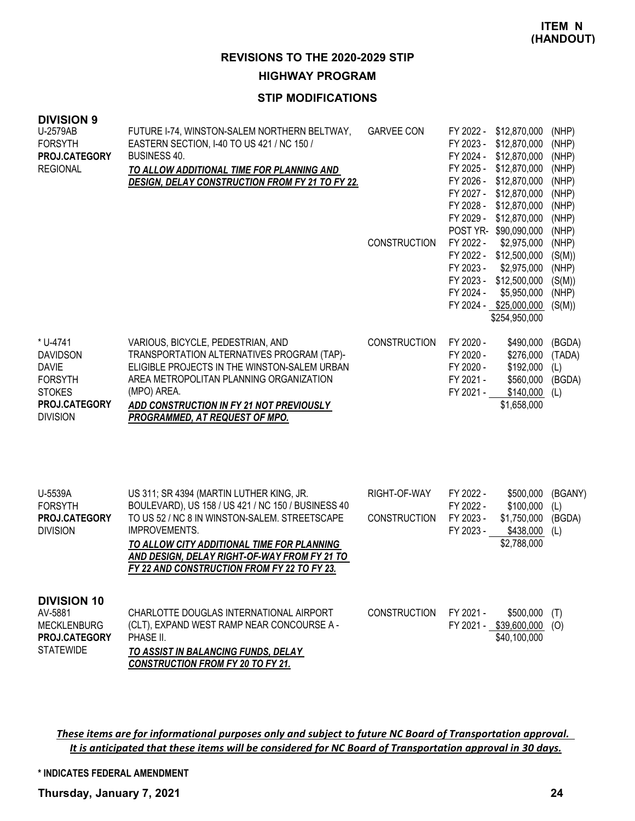### **STIP MODIFICATIONS**

| <b>DIVISION 9</b><br>U-2579AB<br><b>FORSYTH</b><br>PROJ.CATEGORY<br><b>REGIONAL</b>                                | FUTURE I-74, WINSTON-SALEM NORTHERN BELTWAY,<br>EASTERN SECTION, I-40 TO US 421 / NC 150 /<br>BUSINESS 40.<br>TO ALLOW ADDITIONAL TIME FOR PLANNING AND<br>DESIGN, DELAY CONSTRUCTION FROM FY 21 TO FY 22.                                                                                                    | <b>GARVEE CON</b><br><b>CONSTRUCTION</b> | FY 2022 -<br>\$12,870,000<br>FY 2023 -<br>\$12,870,000<br>FY 2024 - \$12,870,000<br>FY 2025 - \$12,870,000<br>FY 2026 -<br>\$12,870,000<br>FY 2027 -<br>\$12,870,000<br>FY 2028 -<br>\$12,870,000<br>FY 2029 -<br>\$12,870,000<br>POST YR- \$90,090,000<br>FY 2022 -<br>\$2,975,000<br>FY 2022 - \$12,500,000<br>FY 2023 -<br>\$2,975,000<br>FY 2023 - \$12,500,000<br>FY 2024 -<br>\$5,950,000<br>FY 2024 - \$25,000,000<br>\$254,950,000 | (NHP)<br>(NHP)<br>(NHP)<br>(NHP)<br>(NHP)<br>(NHP)<br>(NHP)<br>(NHP)<br>(NHP)<br>(NHP)<br>(S(M))<br>(NHP)<br>(S(M))<br>(NHP)<br>(S(M)) |
|--------------------------------------------------------------------------------------------------------------------|---------------------------------------------------------------------------------------------------------------------------------------------------------------------------------------------------------------------------------------------------------------------------------------------------------------|------------------------------------------|--------------------------------------------------------------------------------------------------------------------------------------------------------------------------------------------------------------------------------------------------------------------------------------------------------------------------------------------------------------------------------------------------------------------------------------------|----------------------------------------------------------------------------------------------------------------------------------------|
| * U-4741<br><b>DAVIDSON</b><br><b>DAVIE</b><br><b>FORSYTH</b><br><b>STOKES</b><br>PROJ.CATEGORY<br><b>DIVISION</b> | VARIOUS, BICYCLE, PEDESTRIAN, AND<br>TRANSPORTATION ALTERNATIVES PROGRAM (TAP)-<br>ELIGIBLE PROJECTS IN THE WINSTON-SALEM URBAN<br>AREA METROPOLITAN PLANNING ORGANIZATION<br>(MPO) AREA.<br>ADD CONSTRUCTION IN FY 21 NOT PREVIOUSLY<br>PROGRAMMED, AT REQUEST OF MPO.                                       | <b>CONSTRUCTION</b>                      | FY 2020 -<br>\$490,000<br>FY 2020 -<br>\$276,000<br>FY 2020 -<br>\$192,000<br>FY 2021 -<br>\$560,000<br>FY 2021 -<br>\$140,000<br>\$1,658,000                                                                                                                                                                                                                                                                                              | (BGDA)<br>(TADA)<br>(L)<br>(BGDA)<br>(L)                                                                                               |
| U-5539A<br><b>FORSYTH</b><br>PROJ.CATEGORY<br><b>DIVISION</b>                                                      | US 311; SR 4394 (MARTIN LUTHER KING, JR.<br>BOULEVARD), US 158 / US 421 / NC 150 / BUSINESS 40<br>TO US 52 / NC 8 IN WINSTON-SALEM. STREETSCAPE<br>IMPROVEMENTS.<br>TO ALLOW CITY ADDITIONAL TIME FOR PLANNING<br>AND DESIGN, DELAY RIGHT-OF-WAY FROM FY 21 TO<br>FY 22 AND CONSTRUCTION FROM FY 22 TO FY 23. | RIGHT-OF-WAY<br>CONSTRUCTION             | FY 2022 -<br>\$500,000<br>FY 2022 -<br>\$100,000<br>FY 2023 -<br>\$1,750,000<br>FY 2023 -<br>\$438,000<br>\$2,788,000                                                                                                                                                                                                                                                                                                                      | (BGANY)<br>(L)<br>(BGDA)<br>(L)                                                                                                        |
| <b>DIVISION 10</b><br>AV-5881<br><b>MECKLENBURG</b><br>PROJ.CATEGORY<br><b>STATEWIDE</b>                           | CHARLOTTE DOUGLAS INTERNATIONAL AIRPORT<br>(CLT), EXPAND WEST RAMP NEAR CONCOURSE A -<br>PHASE II.<br>TO ASSIST IN BALANCING FUNDS, DELAY<br><b>CONSTRUCTION FROM FY 20 TO FY 21.</b>                                                                                                                         | <b>CONSTRUCTION</b>                      | FY 2021 -<br>\$500,000<br>FY 2021 - \$39,600,000<br>\$40,100,000                                                                                                                                                                                                                                                                                                                                                                           | (T)<br>(O)                                                                                                                             |

*These items are for informational purposes only and subject to future NC Board of Transportation approval. It is anticipated that these items will be considered for NC Board of Transportation approval in 30 days.*

**\* INDICATES FEDERAL AMENDMENT**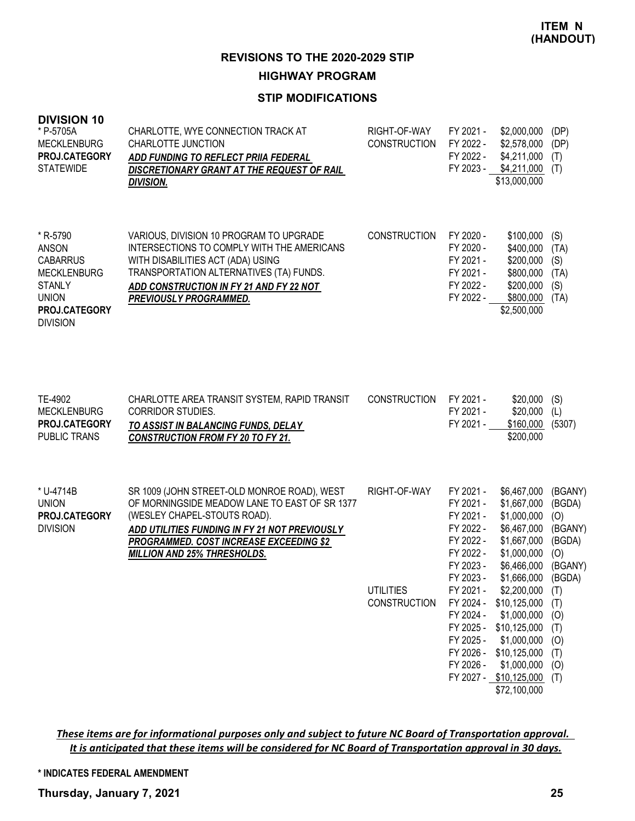### **STIP MODIFICATIONS**

| <b>DIVISION 10</b><br>* P-5705A<br><b>MECKLENBURG</b><br>PROJ.CATEGORY<br><b>STATEWIDE</b>                                      | CHARLOTTE, WYE CONNECTION TRACK AT<br>CHARLOTTE JUNCTION<br>ADD FUNDING TO REFLECT PRIIA FEDERAL<br>DISCRETIONARY GRANT AT THE REQUEST OF RAIL<br><b>DIVISION.</b>                                                                                                    | RIGHT-OF-WAY<br><b>CONSTRUCTION</b>                     | FY 2021 -<br>FY 2022 -<br>FY 2022 -                                                                                                                                                             | \$2,000,000<br>\$2,578,000<br>\$4,211,000<br>FY 2023 - \$4,211,000 (T)<br>\$13,000,000                                                                                                                                                                                     | (DP)<br>(DP)<br>(T)                                                                                                               |
|---------------------------------------------------------------------------------------------------------------------------------|-----------------------------------------------------------------------------------------------------------------------------------------------------------------------------------------------------------------------------------------------------------------------|---------------------------------------------------------|-------------------------------------------------------------------------------------------------------------------------------------------------------------------------------------------------|----------------------------------------------------------------------------------------------------------------------------------------------------------------------------------------------------------------------------------------------------------------------------|-----------------------------------------------------------------------------------------------------------------------------------|
| * R-5790<br>ANSON<br><b>CABARRUS</b><br><b>MECKLENBURG</b><br><b>STANLY</b><br><b>UNION</b><br>PROJ.CATEGORY<br><b>DIVISION</b> | VARIOUS, DIVISION 10 PROGRAM TO UPGRADE<br>INTERSECTIONS TO COMPLY WITH THE AMERICANS<br>WITH DISABILITIES ACT (ADA) USING<br>TRANSPORTATION ALTERNATIVES (TA) FUNDS.<br>ADD CONSTRUCTION IN FY 21 AND FY 22 NOT<br><b>PREVIOUSLY PROGRAMMED.</b>                     | <b>CONSTRUCTION</b>                                     | FY 2020 -<br>FY 2020 -<br>FY 2021 -<br>FY 2021 -<br>FY 2022 -<br>FY 2022 -                                                                                                                      | \$100,000<br>\$400,000<br>\$200,000<br>\$800,000<br>\$200,000<br>\$800,000<br>\$2,500,000                                                                                                                                                                                  | (S)<br>(TA)<br>(S)<br>(TA)<br>(S)<br>(TA)                                                                                         |
| TE-4902<br><b>MECKLENBURG</b><br>PROJ.CATEGORY<br><b>PUBLIC TRANS</b>                                                           | CHARLOTTE AREA TRANSIT SYSTEM, RAPID TRANSIT<br><b>CORRIDOR STUDIES.</b><br>TO ASSIST IN BALANCING FUNDS, DELAY<br><b>CONSTRUCTION FROM FY 20 TO FY 21.</b>                                                                                                           | <b>CONSTRUCTION</b>                                     | FY 2021 -<br>FY 2021 -<br>FY 2021 -                                                                                                                                                             | \$20,000<br>\$20,000<br>\$160,000<br>\$200,000                                                                                                                                                                                                                             | (S)<br>(L)<br>(5307)                                                                                                              |
| * U-4714B<br><b>UNION</b><br>PROJ.CATEGORY<br><b>DIVISION</b>                                                                   | SR 1009 (JOHN STREET-OLD MONROE ROAD), WEST<br>OF MORNINGSIDE MEADOW LANE TO EAST OF SR 1377<br>(WESLEY CHAPEL-STOUTS ROAD).<br>ADD UTILITIES FUNDING IN FY 21 NOT PREVIOUSLY<br><b>PROGRAMMED. COST INCREASE EXCEEDING \$2</b><br><b>MILLION AND 25% THRESHOLDS.</b> | RIGHT-OF-WAY<br><b>UTILITIES</b><br><b>CONSTRUCTION</b> | FY 2021 -<br>FY 2021 -<br>FY 2021 -<br>FY 2022 -<br>FY 2022 -<br>FY 2022 -<br>FY 2023 -<br>FY 2023 -<br>FY 2021 -<br>FY 2024 -<br>FY 2024 -<br>FY 2025 -<br>FY 2025 -<br>FY 2026 -<br>FY 2026 - | \$6,467,000<br>\$1,667,000<br>\$1,000,000<br>\$6,467,000<br>\$1,667,000<br>\$1,000,000<br>\$6,466,000<br>\$1,666,000<br>\$2,200,000<br>\$10,125,000<br>\$1,000,000<br>\$10,125,000<br>\$1,000,000<br>\$10,125,000<br>\$1,000,000<br>FY 2027 - \$10,125,000<br>\$72,100,000 | (BGANY)<br>(BGDA)<br>(O)<br>(BGANY)<br>(BGDA)<br>(O)<br>(BGANY)<br>(BGDA)<br>(T)<br>(T)<br>(0)<br>(T)<br>(0)<br>(T)<br>(0)<br>(T) |

*These items are for informational purposes only and subject to future NC Board of Transportation approval. It is anticipated that these items will be considered for NC Board of Transportation approval in 30 days.*

**\* INDICATES FEDERAL AMENDMENT**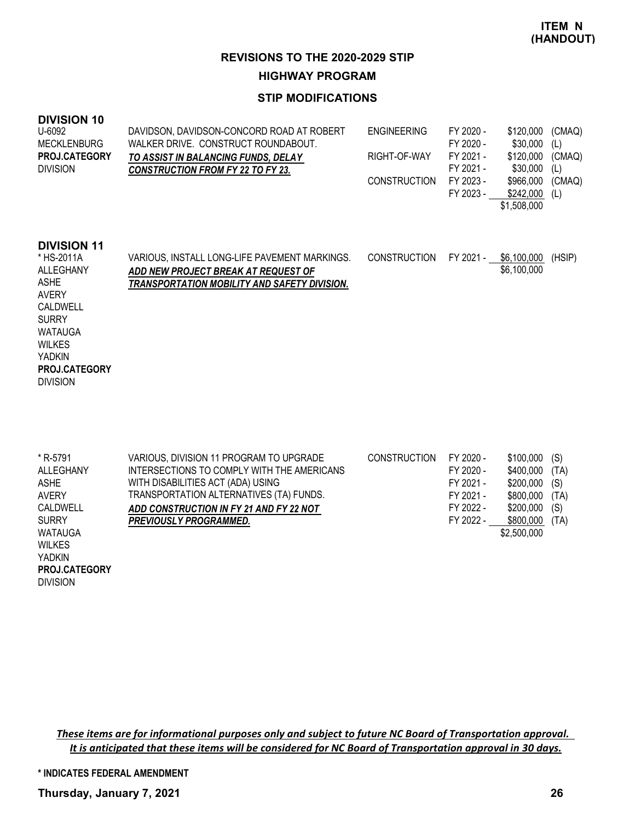### **STIP MODIFICATIONS**

| <b>DIVISION 10</b><br>U-6092<br><b>MECKLENBURG</b><br><b>PROJ.CATEGORY</b><br><b>DIVISION</b>                                                                                                    | DAVIDSON, DAVIDSON-CONCORD ROAD AT ROBERT<br>WALKER DRIVE. CONSTRUCT ROUNDABOUT.<br>TO ASSIST IN BALANCING FUNDS, DELAY<br><b>CONSTRUCTION FROM FY 22 TO FY 23.</b> | <b>ENGINEERING</b><br>RIGHT-OF-WAY<br><b>CONSTRUCTION</b> | FY 2020 -<br>FY 2020 -<br>FY 2021 -<br>FY 2021 -<br>FY 2023 -<br>FY 2023 - | \$120,000<br>\$30,000<br>\$120,000<br>\$30,000<br>\$966,000<br>\$242,000<br>\$1,508,000 | (CMAQ)<br>(L)<br>(CMAQ)<br>(L)<br>(CMAQ)<br>(L) |
|--------------------------------------------------------------------------------------------------------------------------------------------------------------------------------------------------|---------------------------------------------------------------------------------------------------------------------------------------------------------------------|-----------------------------------------------------------|----------------------------------------------------------------------------|-----------------------------------------------------------------------------------------|-------------------------------------------------|
| <b>DIVISION 11</b><br>* HS-2011A<br>ALLEGHANY<br><b>ASHE</b><br><b>AVERY</b><br>CALDWELL<br><b>SURRY</b><br><b>WATAUGA</b><br><b>WILKES</b><br>YADKIN<br><b>PROJ.CATEGORY</b><br><b>DIVISION</b> | VARIOUS, INSTALL LONG-LIFE PAVEMENT MARKINGS.<br>ADD NEW PROJECT BREAK AT REQUEST OF<br>TRANSPORTATION MOBILITY AND SAFETY DIVISION.                                | <b>CONSTRUCTION</b>                                       | FY 2021 -                                                                  | \$6,100,000<br>\$6,100,000                                                              | (HSIP)                                          |

| * R-5791       | VARIOUS, DIVISION 11 PROGRAM TO UPGRADE    | <b>CONSTRUCTION</b> | FY 2020 - | \$100,000   | (S)  |
|----------------|--------------------------------------------|---------------------|-----------|-------------|------|
| ALLEGHANY      | INTERSECTIONS TO COMPLY WITH THE AMERICANS |                     | FY 2020 - | \$400,000   | (TA) |
| <b>ASHE</b>    | WITH DISABILITIES ACT (ADA) USING          |                     | FY 2021 - | \$200,000   | (S)  |
| <b>AVERY</b>   | TRANSPORTATION ALTERNATIVES (TA) FUNDS.    |                     | FY 2021 - | \$800,000   | (TA) |
| CALDWELL       | ADD CONSTRUCTION IN FY 21 AND FY 22 NOT    |                     | FY 2022 - | \$200,000   | (S)  |
| <b>SURRY</b>   | <b>PREVIOUSLY PROGRAMMED.</b>              |                     | FY 2022 - | \$800,000   | (TA) |
| <b>WATAUGA</b> |                                            |                     |           | \$2,500,000 |      |
| <b>WILKES</b>  |                                            |                     |           |             |      |
| YADKIN         |                                            |                     |           |             |      |
| PROJ.CATEGORY  |                                            |                     |           |             |      |

*These items are for informational purposes only and subject to future NC Board of Transportation approval. It is anticipated that these items will be considered for NC Board of Transportation approval in 30 days.*

**\* INDICATES FEDERAL AMENDMENT**

**Thursday, January 7, 2021 26**

DIVISION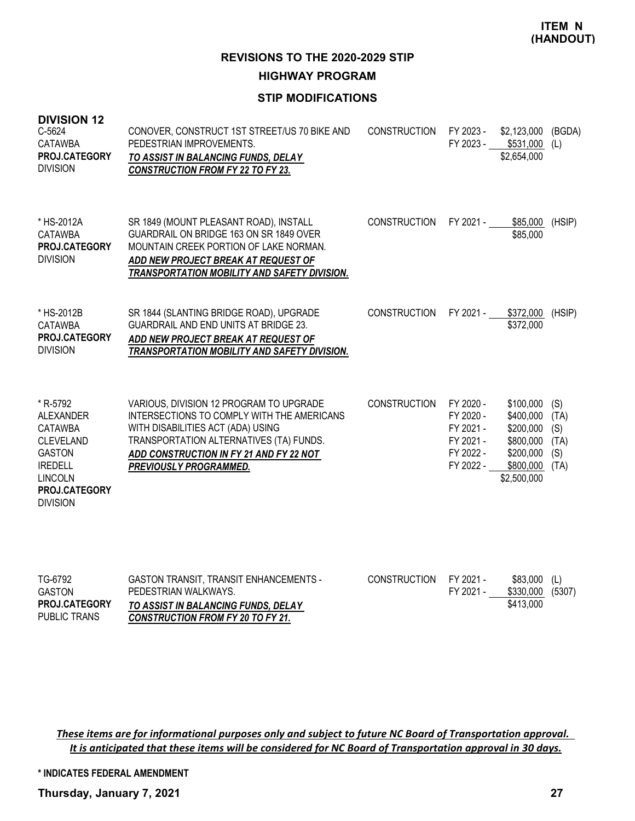### **STIP MODIFICATIONS**

| <b>DIVISION 12</b><br>C-5624<br><b>CATAWBA</b><br>PROJ.CATEGORY<br><b>DIVISION</b>                                                                          | CONOVER, CONSTRUCT 1ST STREET/US 70 BIKE AND<br>PEDESTRIAN IMPROVEMENTS.<br>TO ASSIST IN BALANCING FUNDS, DELAY<br><b>CONSTRUCTION FROM FY 22 TO FY 23.</b>                                                                                | <b>CONSTRUCTION</b> | FY 2023 -<br>FY 2023 -                                                     | \$2,123,000<br>\$531,000<br>\$2,654,000                                                   | (BGDA)<br>(L)                             |
|-------------------------------------------------------------------------------------------------------------------------------------------------------------|--------------------------------------------------------------------------------------------------------------------------------------------------------------------------------------------------------------------------------------------|---------------------|----------------------------------------------------------------------------|-------------------------------------------------------------------------------------------|-------------------------------------------|
| * HS-2012A<br><b>CATAWBA</b><br>PROJ.CATEGORY<br><b>DIVISION</b>                                                                                            | SR 1849 (MOUNT PLEASANT ROAD), INSTALL<br>GUARDRAIL ON BRIDGE 163 ON SR 1849 OVER<br>MOUNTAIN CREEK PORTION OF LAKE NORMAN.<br>ADD NEW PROJECT BREAK AT REQUEST OF<br>TRANSPORTATION MOBILITY AND SAFETY DIVISION.                         | <b>CONSTRUCTION</b> | FY 2021 -                                                                  | \$85,000<br>\$85,000                                                                      | (HSIP)                                    |
| * HS-2012B<br><b>CATAWBA</b><br>PROJ.CATEGORY<br><b>DIVISION</b>                                                                                            | SR 1844 (SLANTING BRIDGE ROAD), UPGRADE<br>GUARDRAIL AND END UNITS AT BRIDGE 23.<br>ADD NEW PROJECT BREAK AT REQUEST OF<br>TRANSPORTATION MOBILITY AND SAFETY DIVISION.                                                                    | <b>CONSTRUCTION</b> | FY 2021 -                                                                  | \$372,000<br>\$372,000                                                                    | (HSIP)                                    |
| * R-5792<br><b>ALEXANDER</b><br><b>CATAWBA</b><br><b>CLEVELAND</b><br><b>GASTON</b><br><b>IREDELL</b><br><b>LINCOLN</b><br>PROJ.CATEGORY<br><b>DIVISION</b> | VARIOUS, DIVISION 12 PROGRAM TO UPGRADE<br>INTERSECTIONS TO COMPLY WITH THE AMERICANS<br>WITH DISABILITIES ACT (ADA) USING<br>TRANSPORTATION ALTERNATIVES (TA) FUNDS.<br>ADD CONSTRUCTION IN FY 21 AND FY 22 NOT<br>PREVIOUSLY PROGRAMMED. | <b>CONSTRUCTION</b> | FY 2020 -<br>FY 2020 -<br>FY 2021 -<br>FY 2021 -<br>FY 2022 -<br>FY 2022 - | \$100,000<br>\$400,000<br>\$200,000<br>\$800,000<br>\$200,000<br>\$800,000<br>\$2,500,000 | (S)<br>(TA)<br>(S)<br>(TA)<br>(S)<br>(TA) |
| TG-6792<br><b>GASTON</b><br>PROJ.CATEGORY<br>PUBLIC TRANS                                                                                                   | <b>GASTON TRANSIT, TRANSIT ENHANCEMENTS -</b><br>PEDESTRIAN WALKWAYS.<br>TO ASSIST IN BALANCING FUNDS, DELAY<br>CONSTRUCTION FROM FY 20 TO FY 21                                                                                           | <b>CONSTRUCTION</b> | FY 2021 -<br>FY 2021 -                                                     | \$83,000<br>\$330,000<br>\$413,000                                                        | (L)<br>(5307)                             |

*These items are for informational purposes only and subject to future NC Board of Transportation approval. It is anticipated that these items will be considered for NC Board of Transportation approval in 30 days.*

**\* INDICATES FEDERAL AMENDMENT**

*CONSTRUCTION FROM FY 20 TO FY 21.*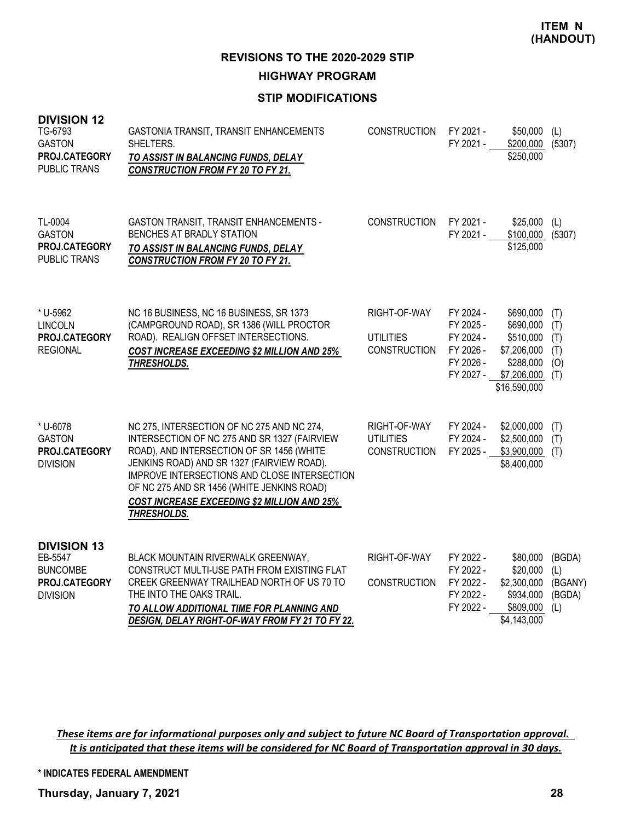## **STIP MODIFICATIONS**

| <b>DIVISION 12</b><br>TG-6793<br><b>GASTON</b><br>PROJ.CATEGORY<br><b>PUBLIC TRANS</b> | GASTONIA TRANSIT, TRANSIT ENHANCEMENTS<br>SHELTERS.<br>TO ASSIST IN BALANCING FUNDS, DELAY<br><b>CONSTRUCTION FROM FY 20 TO FY 21.</b>                                                                                                                                                                                                                   | <b>CONSTRUCTION</b>                                     | FY 2021 -<br>FY 2021 -                                                     | \$50,000<br>\$200,000 (5307)<br>\$250,000                                                      | (L)                                       |
|----------------------------------------------------------------------------------------|----------------------------------------------------------------------------------------------------------------------------------------------------------------------------------------------------------------------------------------------------------------------------------------------------------------------------------------------------------|---------------------------------------------------------|----------------------------------------------------------------------------|------------------------------------------------------------------------------------------------|-------------------------------------------|
| TL-0004<br><b>GASTON</b><br>PROJ.CATEGORY<br><b>PUBLIC TRANS</b>                       | GASTON TRANSIT, TRANSIT ENHANCEMENTS -<br>BENCHES AT BRADLY STATION<br>TO ASSIST IN BALANCING FUNDS, DELAY<br><b>CONSTRUCTION FROM FY 20 TO FY 21.</b>                                                                                                                                                                                                   | <b>CONSTRUCTION</b>                                     | FY 2021 -<br>FY 2021 -                                                     | \$25,000<br>\$100,000 (5307)<br>\$125,000                                                      | (L)                                       |
| * U-5962<br><b>LINCOLN</b><br>PROJ.CATEGORY<br><b>REGIONAL</b>                         | NC 16 BUSINESS, NC 16 BUSINESS, SR 1373<br>(CAMPGROUND ROAD), SR 1386 (WILL PROCTOR<br>ROAD). REALIGN OFFSET INTERSECTIONS.<br><b>COST INCREASE EXCEEDING \$2 MILLION AND 25%</b><br>THRESHOLDS.                                                                                                                                                         | RIGHT-OF-WAY<br><b>UTILITIES</b><br><b>CONSTRUCTION</b> | FY 2024 -<br>FY 2025 -<br>FY 2024 -<br>FY 2026 -<br>FY 2026 -<br>FY 2027 - | \$690,000<br>\$690,000<br>\$510,000<br>\$7,206,000<br>\$288,000<br>\$7,206,000<br>\$16,590,000 | (T)<br>(T)<br>(T)<br>(T)<br>(0)<br>(T)    |
| * U-6078<br><b>GASTON</b><br>PROJ.CATEGORY<br><b>DIVISION</b>                          | NC 275, INTERSECTION OF NC 275 AND NC 274,<br>INTERSECTION OF NC 275 AND SR 1327 (FAIRVIEW<br>ROAD), AND INTERSECTION OF SR 1456 (WHITE<br>JENKINS ROAD) AND SR 1327 (FAIRVIEW ROAD).<br>IMPROVE INTERSECTIONS AND CLOSE INTERSECTION<br>OF NC 275 AND SR 1456 (WHITE JENKINS ROAD)<br><b>COST INCREASE EXCEEDING \$2 MILLION AND 25%</b><br>THRESHOLDS. | RIGHT-OF-WAY<br><b>UTILITIES</b><br><b>CONSTRUCTION</b> | FY 2024 -<br>FY 2024 -<br>FY 2025 -                                        | \$2,000,000<br>\$2,500,000<br>$$3,900,000$ (T)<br>\$8,400,000                                  | (T)<br>(T)                                |
| <b>DIVISION 13</b><br>EB-5547<br><b>BUNCOMBE</b><br>PROJ.CATEGORY<br><b>DIVISION</b>   | BLACK MOUNTAIN RIVERWALK GREENWAY,<br>CONSTRUCT MULTI-USE PATH FROM EXISTING FLAT<br>CREEK GREENWAY TRAILHEAD NORTH OF US 70 TO<br>THE INTO THE OAKS TRAIL.<br>TO ALLOW ADDITIONAL TIME FOR PLANNING AND<br>DESIGN, DELAY RIGHT-OF-WAY FROM FY 21 TO FY 22.                                                                                              | RIGHT-OF-WAY<br><b>CONSTRUCTION</b>                     | FY 2022 -<br>FY 2022 -<br>FY 2022 -<br>FY 2022 -<br>FY 2022 -              | \$80,000<br>\$20,000<br>\$2,300,000<br>\$934,000<br>\$809,000<br>\$4,143,000                   | (BGDA)<br>(L)<br>(BGANY)<br>(BGDA)<br>(L) |

*These items are for informational purposes only and subject to future NC Board of Transportation approval. It is anticipated that these items will be considered for NC Board of Transportation approval in 30 days.*

**\* INDICATES FEDERAL AMENDMENT**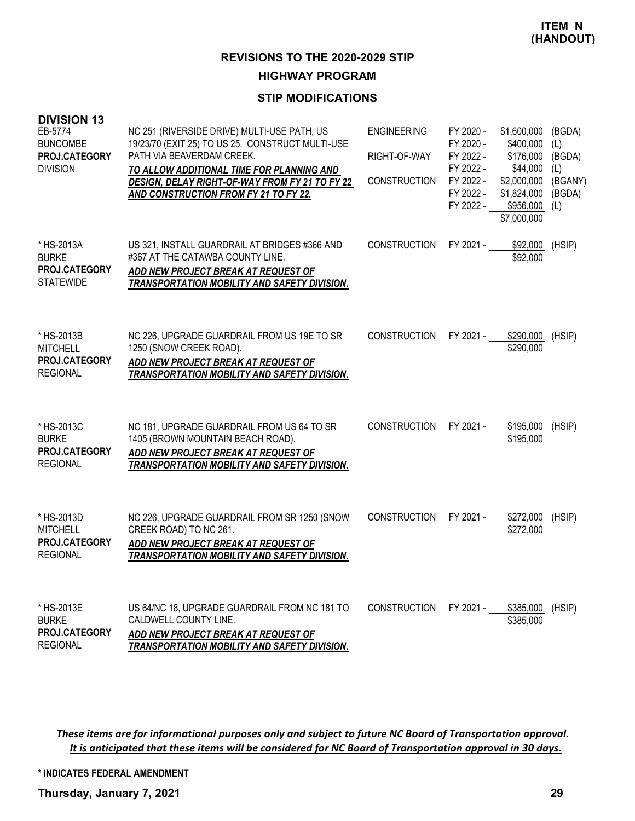### **STIP MODIFICATIONS**

| <b>DIVISION 13</b><br>EB-5774<br><b>BUNCOMBE</b><br>PROJ.CATEGORY<br><b>DIVISION</b> | NC 251 (RIVERSIDE DRIVE) MULTI-USE PATH, US<br>19/23/70 (EXIT 25) TO US 25. CONSTRUCT MULTI-USE<br>PATH VIA BEAVERDAM CREEK.<br>TO ALLOW ADDITIONAL TIME FOR PLANNING AND<br>DESIGN, DELAY RIGHT-OF-WAY FROM FY 21 TO FY 22<br>AND CONSTRUCTION FROM FY 21 TO FY 22. | <b>ENGINEERING</b><br>RIGHT-OF-WAY<br><b>CONSTRUCTION</b> | FY 2020 -<br>FY 2020 -<br>FY 2022 -<br>FY 2022 -<br>FY 2022 -<br>FY 2022 -<br>FY 2022 - | \$1,600,000<br>\$400,000<br>\$176,000<br>\$44,000<br>\$2,000,000<br>\$1,824,000<br>\$956,000<br>\$7,000,000 | (BGDA)<br>(L)<br>(BGDA)<br>(L)<br>(BGANY)<br>(BGDA)<br>(L) |
|--------------------------------------------------------------------------------------|----------------------------------------------------------------------------------------------------------------------------------------------------------------------------------------------------------------------------------------------------------------------|-----------------------------------------------------------|-----------------------------------------------------------------------------------------|-------------------------------------------------------------------------------------------------------------|------------------------------------------------------------|
| * HS-2013A<br><b>BURKE</b><br><b>PROJ.CATEGORY</b><br><b>STATEWIDE</b>               | US 321, INSTALL GUARDRAIL AT BRIDGES #366 AND<br>#367 AT THE CATAWBA COUNTY LINE.<br>ADD NEW PROJECT BREAK AT REQUEST OF<br>TRANSPORTATION MOBILITY AND SAFETY DIVISION.                                                                                             | <b>CONSTRUCTION</b>                                       | FY 2021 -                                                                               | \$92,000<br>\$92,000                                                                                        | (HSIP)                                                     |
| * HS-2013B<br><b>MITCHELL</b><br>PROJ.CATEGORY<br><b>REGIONAL</b>                    | NC 226, UPGRADE GUARDRAIL FROM US 19E TO SR<br>1250 (SNOW CREEK ROAD).<br>ADD NEW PROJECT BREAK AT REQUEST OF<br>TRANSPORTATION MOBILITY AND SAFETY DIVISION.                                                                                                        | <b>CONSTRUCTION</b>                                       | FY 2021 -                                                                               | \$290,000<br>\$290,000                                                                                      | (HSIP)                                                     |
| * HS-2013C<br><b>BURKE</b><br>PROJ.CATEGORY<br><b>REGIONAL</b>                       | NC 181, UPGRADE GUARDRAIL FROM US 64 TO SR<br>1405 (BROWN MOUNTAIN BEACH ROAD).<br>ADD NEW PROJECT BREAK AT REQUEST OF<br>TRANSPORTATION MOBILITY AND SAFETY DIVISION.                                                                                               | <b>CONSTRUCTION</b>                                       | FY 2021 -                                                                               | \$195.000<br>\$195,000                                                                                      | (HSIP)                                                     |
| * HS-2013D<br><b>MITCHELL</b><br>PROJ.CATEGORY<br><b>REGIONAL</b>                    | NC 226, UPGRADE GUARDRAIL FROM SR 1250 (SNOW<br>CREEK ROAD) TO NC 261.<br>ADD NEW PROJECT BREAK AT REQUEST OF<br>TRANSPORTATION MOBILITY AND SAFETY DIVISION.                                                                                                        | <b>CONSTRUCTION</b>                                       | FY 2021 -                                                                               | \$272,000<br>\$272,000                                                                                      | (HSIP)                                                     |
| * HS-2013E<br><b>BURKE</b><br><b>PROJ.CATEGORY</b><br><b>REGIONAL</b>                | US 64/NC 18, UPGRADE GUARDRAIL FROM NC 181 TO<br>CALDWELL COUNTY LINE.<br>ADD NEW PROJECT BREAK AT REQUEST OF<br>TRANSPORTATION MOBILITY AND SAFETY DIVISION.                                                                                                        | <b>CONSTRUCTION</b>                                       | FY 2021 -                                                                               | \$385,000 (HSIP)<br>\$385,000                                                                               |                                                            |

*These items are for informational purposes only and subject to future NC Board of Transportation approval. It is anticipated that these items will be considered for NC Board of Transportation approval in 30 days.*

**\* INDICATES FEDERAL AMENDMENT**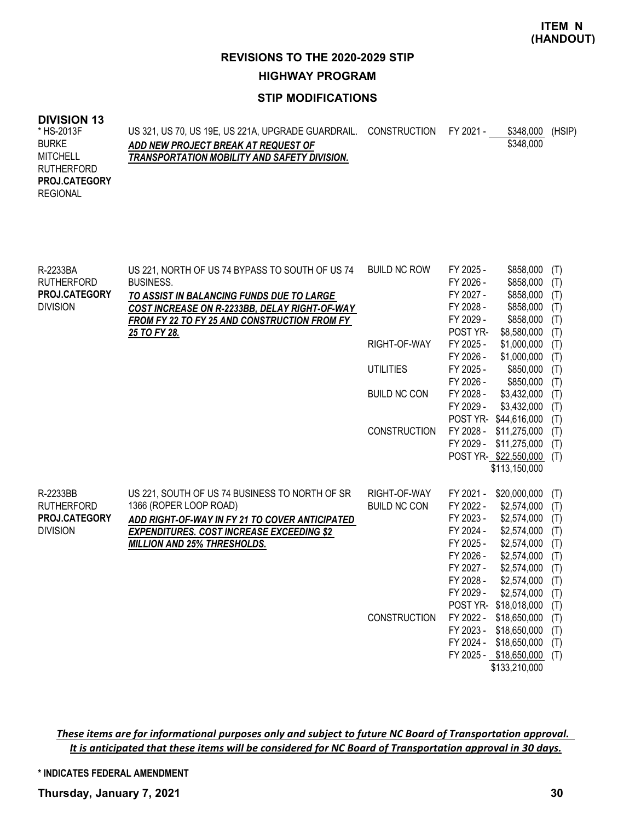### **STIP MODIFICATIONS**

#### **DIVISION 13**

| * HS-2013F           | US 321, US 70, US 19E, US 221A, UPGRADE GUARDRAIL. CONSTRUCTION FY 2021 - |  | \$348.000 | (HSIP) |
|----------------------|---------------------------------------------------------------------------|--|-----------|--------|
| <b>BURKE</b>         | ADD NEW PROJECT BREAK AT REQUEST OF                                       |  | \$348,000 |        |
| MITCHELL             | TRANSPORTATION MOBILITY AND SAFETY DIVISION.                              |  |           |        |
| RUTHERFORD           |                                                                           |  |           |        |
| <b>PROJ.CATEGORY</b> |                                                                           |  |           |        |
| REGIONAL             |                                                                           |  |           |        |
|                      |                                                                           |  |           |        |

| R-2233BA          | US 221, NORTH OF US 74 BYPASS TO SOUTH OF US 74  | <b>BUILD NC ROW</b> | FY 2025 - | \$858,000              | (T) |
|-------------------|--------------------------------------------------|---------------------|-----------|------------------------|-----|
| <b>RUTHERFORD</b> | <b>BUSINESS.</b>                                 |                     | FY 2026 - | \$858,000              | (T) |
| PROJ.CATEGORY     | TO ASSIST IN BALANCING FUNDS DUE TO LARGE        |                     | FY 2027 - | \$858,000              | (T) |
| <b>DIVISION</b>   | COST INCREASE ON R-2233BB, DELAY RIGHT-OF-WAY    |                     | FY 2028 - | \$858,000              | (T) |
|                   | FROM FY 22 TO FY 25 AND CONSTRUCTION FROM FY     |                     | FY 2029 - | \$858,000              | (T) |
|                   | 25 TO FY 28.                                     |                     | POST YR-  | \$8,580,000            | (T) |
|                   |                                                  | RIGHT-OF-WAY        | FY 2025 - | \$1,000,000            | (T) |
|                   |                                                  |                     | FY 2026 - | \$1,000,000            | (T) |
|                   |                                                  | <b>UTILITIES</b>    | FY 2025 - | \$850,000              | (T) |
|                   |                                                  |                     | FY 2026 - | \$850,000              | (T) |
|                   |                                                  | <b>BUILD NC CON</b> | FY 2028 - | \$3,432,000            | (T) |
|                   |                                                  |                     | FY 2029 - | \$3,432,000            | (T) |
|                   |                                                  |                     |           | POST YR- \$44,616,000  | (T) |
|                   |                                                  | <b>CONSTRUCTION</b> |           | FY 2028 - \$11,275,000 | (T) |
|                   |                                                  |                     | FY 2029 - | \$11,275,000           | (T) |
|                   |                                                  |                     |           | POST YR-\$22,550,000   | (T) |
|                   |                                                  |                     |           | \$113,150,000          |     |
|                   |                                                  |                     |           |                        |     |
| R-2233BB          | US 221, SOUTH OF US 74 BUSINESS TO NORTH OF SR   | RIGHT-OF-WAY        | FY 2021 - | \$20,000,000           | (T) |
| <b>RUTHERFORD</b> | 1366 (ROPER LOOP ROAD)                           | <b>BUILD NC CON</b> | FY 2022 - | \$2,574,000            | (T) |
| PROJ.CATEGORY     | ADD RIGHT-OF-WAY IN FY 21 TO COVER ANTICIPATED   |                     | FY 2023 - | \$2,574,000            | (T) |
| <b>DIVISION</b>   | <b>EXPENDITURES. COST INCREASE EXCEEDING \$2</b> |                     | FY 2024 - | \$2,574,000            | (T) |
|                   | <b>MILLION AND 25% THRESHOLDS.</b>               |                     | FY 2025 - | \$2,574,000            | (T) |
|                   |                                                  |                     | FY 2026 - | \$2,574,000            | (T) |
|                   |                                                  |                     | FY 2027 - | \$2,574,000            | (T) |
|                   |                                                  |                     | FY 2028 - | \$2,574,000            | (T) |
|                   |                                                  |                     | FY 2029 - | \$2,574,000            | (T) |
|                   |                                                  |                     |           | POST YR- \$18,018,000  | (T) |
|                   |                                                  | <b>CONSTRUCTION</b> | FY 2022 - | \$18,650,000           | (T) |
|                   |                                                  |                     |           | FY 2023 - \$18,650,000 | (T) |
|                   |                                                  |                     | FY 2024 - | \$18,650,000           | (T) |
|                   |                                                  |                     |           | FY 2025 - \$18,650,000 | (T) |
|                   |                                                  |                     |           | \$133,210,000          |     |

*These items are for informational purposes only and subject to future NC Board of Transportation approval. It is anticipated that these items will be considered for NC Board of Transportation approval in 30 days.*

**\* INDICATES FEDERAL AMENDMENT**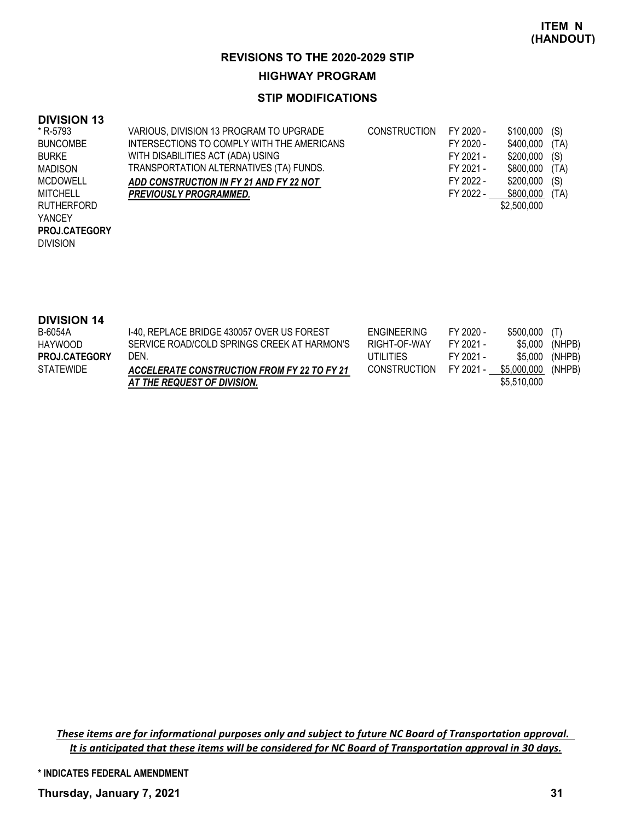### **STIP MODIFICATIONS**

### **DIVISION 13**

| * R-5793          | VARIOUS, DIVISION 13 PROGRAM TO UPGRADE    | CONSTRUCTION | FY 2020 - | $$100.000$ (S) |      |
|-------------------|--------------------------------------------|--------------|-----------|----------------|------|
| <b>BUNCOMBE</b>   | INTERSECTIONS TO COMPLY WITH THE AMERICANS |              | FY 2020 - | \$400.000      | (TA) |
| <b>BURKE</b>      | WITH DISABILITIES ACT (ADA) USING          |              | FY 2021 - | $$200,000$ (S) |      |
| <b>MADISON</b>    | TRANSPORTATION ALTERNATIVES (TA) FUNDS.    |              | FY 2021 - | \$800,000 (TA) |      |
| <b>MCDOWELL</b>   | ADD CONSTRUCTION IN FY 21 AND FY 22 NOT    |              | FY 2022 - | $$200,000$ (S) |      |
| <b>MITCHELL</b>   | <b>PREVIOUSLY PROGRAMMED.</b>              |              | FY 2022 - | \$800.000      | (TA) |
| <b>RUTHERFORD</b> |                                            |              |           | \$2,500,000    |      |
| <b>YANCEY</b>     |                                            |              |           |                |      |
| PROJ.CATEGORY     |                                            |              |           |                |      |

DIVISION

# **DIVISION 14**

| ----------           |                                             |                     |           |                    |        |
|----------------------|---------------------------------------------|---------------------|-----------|--------------------|--------|
| B-6054A              | 1-40, REPLACE BRIDGE 430057 OVER US FOREST  | <b>ENGINEERING</b>  | FY 2020 - | \$500,000 (T)      |        |
| HAYWOOD              | SERVICE ROAD/COLD SPRINGS CREEK AT HARMON'S | RIGHT-OF-WAY        | FY 2021 - | \$5.000            | (NHPB) |
| <b>PROJ.CATEGORY</b> | DEN.                                        | UTILITIES           | FY 2021 - | \$5.000            | (NHPB) |
| <b>STATEWIDE</b>     | ACCELERATE CONSTRUCTION FROM FY 22 TO FY 21 | <b>CONSTRUCTION</b> | FY 2021 - | \$5,000,000 (NHPB) |        |
|                      | AT THE REQUEST OF DIVISION.                 |                     |           | \$5,510,000        |        |

*These items are for informational purposes only and subject to future NC Board of Transportation approval. It is anticipated that these items will be considered for NC Board of Transportation approval in 30 days.*

**\* INDICATES FEDERAL AMENDMENT**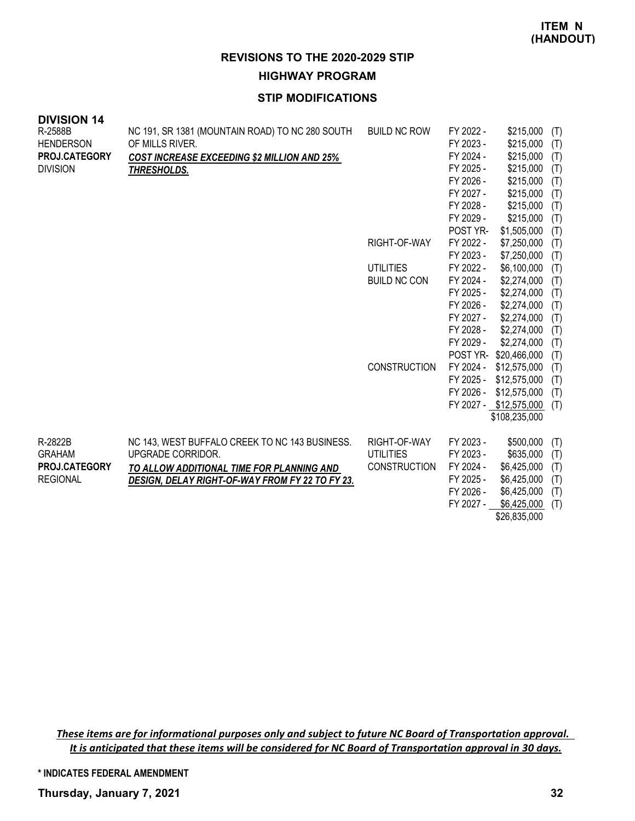## **STIP MODIFICATIONS**

| <b>DIVISION 14</b>   |                                                    |                     |                        |                                        |            |
|----------------------|----------------------------------------------------|---------------------|------------------------|----------------------------------------|------------|
| R-2588B              | NC 191, SR 1381 (MOUNTAIN ROAD) TO NC 280 SOUTH    | <b>BUILD NC ROW</b> | FY 2022 -              | \$215,000                              | (T)        |
| <b>HENDERSON</b>     | OF MILLS RIVER.                                    |                     | FY 2023 -              | \$215,000                              | (T)        |
| PROJ.CATEGORY        | <b>COST INCREASE EXCEEDING \$2 MILLION AND 25%</b> |                     | FY 2024 -              | \$215,000                              | (T)        |
| <b>DIVISION</b>      | THRESHOLDS.                                        |                     | FY 2025 -              | \$215,000                              | (T)        |
|                      |                                                    |                     | FY 2026 -              | \$215,000                              | (T)        |
|                      |                                                    |                     | FY 2027 -              | \$215,000                              | (T)        |
|                      |                                                    |                     | FY 2028 -              | \$215,000                              | (T)        |
|                      |                                                    |                     | FY 2029 -              | \$215,000                              | (T)        |
|                      |                                                    |                     | POST YR-               | \$1,505,000                            | (T)        |
|                      |                                                    | RIGHT-OF-WAY        | FY 2022 -              | \$7,250,000                            | (T)        |
|                      |                                                    |                     | FY 2023 -              | \$7,250,000                            | (T)        |
|                      |                                                    | <b>UTILITIES</b>    | FY 2022 -              | \$6,100,000                            | (T)        |
|                      |                                                    | <b>BUILD NC CON</b> | FY 2024 -              | \$2,274,000                            | (T)        |
|                      |                                                    |                     | FY 2025 -              | \$2,274,000                            | (T)        |
|                      |                                                    |                     | FY 2026 -              | \$2,274,000                            | (T)        |
|                      |                                                    |                     | FY 2027 -              | \$2,274,000                            | (T)        |
|                      |                                                    |                     | FY 2028 -              | \$2,274,000                            | (T)        |
|                      |                                                    |                     | FY 2029 -              | \$2,274,000                            | (T)        |
|                      |                                                    |                     | POST YR-               | \$20,466,000                           | (T)        |
|                      |                                                    | <b>CONSTRUCTION</b> | FY 2024 -              | \$12,575,000                           | (T)        |
|                      |                                                    |                     | FY 2025 -<br>FY 2026 - | \$12,575,000                           | (T)        |
|                      |                                                    |                     |                        | \$12,575,000<br>FY 2027 - \$12,575,000 | (T)<br>(T) |
|                      |                                                    |                     |                        | \$108,235,000                          |            |
|                      |                                                    |                     |                        |                                        |            |
| R-2822B              | NC 143, WEST BUFFALO CREEK TO NC 143 BUSINESS.     | RIGHT-OF-WAY        | FY 2023 -              | \$500,000                              | (T)        |
| <b>GRAHAM</b>        | UPGRADE CORRIDOR.                                  | <b>UTILITIES</b>    | FY 2023 -              | \$635,000                              | (T)        |
| <b>PROJ.CATEGORY</b> | TO ALLOW ADDITIONAL TIME FOR PLANNING AND          | <b>CONSTRUCTION</b> | FY 2024 -              | \$6,425,000                            | (T)        |
| <b>REGIONAL</b>      | DESIGN, DELAY RIGHT-OF-WAY FROM FY 22 TO FY 23.    |                     | FY 2025 -              | \$6,425,000                            | (T)        |
|                      |                                                    |                     | FY 2026 -              | \$6,425,000                            | (T)        |
|                      |                                                    |                     | FY 2027 -              | \$6,425,000                            | (T)        |
|                      |                                                    |                     |                        | \$26,835,000                           |            |

*These items are for informational purposes only and subject to future NC Board of Transportation approval. It is anticipated that these items will be considered for NC Board of Transportation approval in 30 days.*

**\* INDICATES FEDERAL AMENDMENT**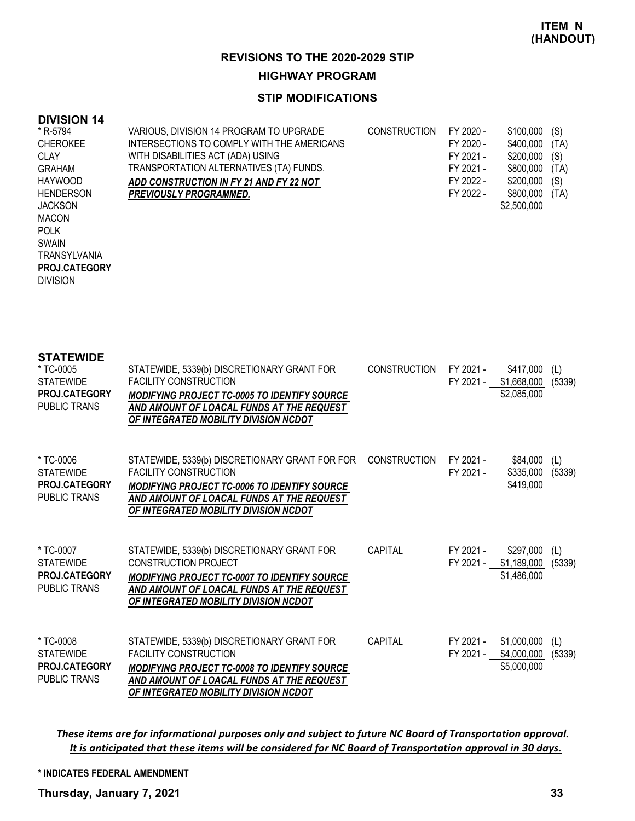#### **STIP MODIFICATIONS**

#### **DIVISION 14**

DIVISION

**PROJ.CATEGORY**

| * R-5794         | VARIOUS, DIVISION 14 PROGRAM TO UPGRADE    | <b>CONSTRUCTION</b> | FY 2020 - | \$100,000   | (S)  |
|------------------|--------------------------------------------|---------------------|-----------|-------------|------|
| <b>CHEROKEE</b>  | INTERSECTIONS TO COMPLY WITH THE AMERICANS |                     | FY 2020 - | \$400,000   | (TA) |
| CLAY             | WITH DISABILITIES ACT (ADA) USING          |                     | FY 2021 - | \$200,000   | (S)  |
| <b>GRAHAM</b>    | TRANSPORTATION ALTERNATIVES (TA) FUNDS.    |                     | FY 2021 - | \$800,000   | (TA) |
| <b>HAYWOOD</b>   | ADD CONSTRUCTION IN FY 21 AND FY 22 NOT    |                     | FY 2022 - | \$200,000   | (S)  |
| <b>HENDERSON</b> | <b>PREVIOUSLY PROGRAMMED.</b>              |                     | FY 2022 - | \$800,000   | (TA) |
| <b>JACKSON</b>   |                                            |                     |           | \$2,500,000 |      |
| MACON            |                                            |                     |           |             |      |
| <b>POLK</b>      |                                            |                     |           |             |      |
| <b>SWAIN</b>     |                                            |                     |           |             |      |
| TRANSYLVANIA     |                                            |                     |           |             |      |

**STATEWIDE** STATEWIDE, 5339(b) DISCRETIONARY GRANT FOR FACILITY CONSTRUCTION *MODIFYING PROJECT TC-0005 TO IDENTIFY SOURCE AND AMOUNT OF LOACAL FUNDS AT THE REQUEST OF INTEGRATED MOBILITY DIVISION NCDOT* CONSTRUCTION FY 2021 - \$417,000 (L) FY 2021 - \$1,668,000 (5339) \$2,085,000 \* TC-0005 **STATEWIDE** PUBLIC TRANS **PROJ.CATEGORY** STATEWIDE, 5339(b) DISCRETIONARY GRANT FOR FOR CONSTRUCTION FY 2021 - \$84,000 (L) FACILITY CONSTRUCTION *MODIFYING PROJECT TC-0006 TO IDENTIFY SOURCE AND AMOUNT OF LOACAL FUNDS AT THE REQUEST OF INTEGRATED MOBILITY DIVISION NCDOT* FY 2021 - \$335,000 (5339) \$419,000 \* TC-0006 **STATEWIDE** PUBLIC TRANS **PROJ.CATEGORY** STATEWIDE, 5339(b) DISCRETIONARY GRANT FOR CONSTRUCTION PROJECT *MODIFYING PROJECT TC-0007 TO IDENTIFY SOURCE AND AMOUNT OF LOACAL FUNDS AT THE REQUEST OF INTEGRATED MOBILITY DIVISION NCDOT* CAPITAL FY 2021 - \$297,000 (L) FY 2021 - \$1,189,000 (5339) \$1,486,000 \* TC-0007 **STATEWIDE** PUBLIC TRANS **PROJ.CATEGORY** STATEWIDE, 5339(b) DISCRETIONARY GRANT FOR FACILITY CONSTRUCTION *MODIFYING PROJECT TC-0008 TO IDENTIFY SOURCE AND AMOUNT OF LOACAL FUNDS AT THE REQUEST OF INTEGRATED MOBILITY DIVISION NCDOT* CAPITAL FY 2021 - \$1,000,000 (L) FY 2021 - \$4,000,000 (5339) \$5,000,000 \* TC-0008 **STATEWIDE** PUBLIC TRANS **PROJ.CATEGORY**

*These items are for informational purposes only and subject to future NC Board of Transportation approval. It is anticipated that these items will be considered for NC Board of Transportation approval in 30 days.*

#### **\* INDICATES FEDERAL AMENDMENT**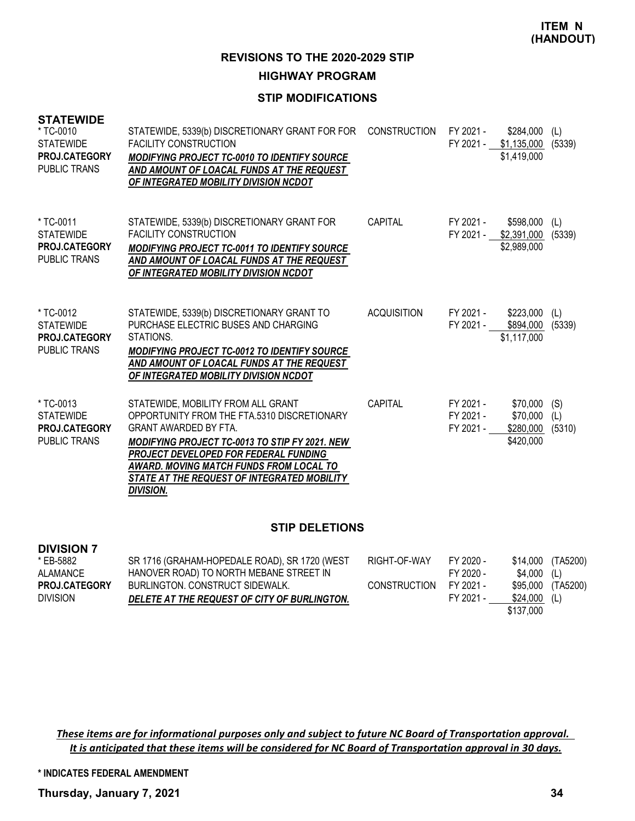### **STIP MODIFICATIONS**

| <b>STATEWIDE</b><br>* TC-0010<br><b>STATEWIDE</b><br>PROJ.CATEGORY<br><b>PUBLIC TRANS</b> | STATEWIDE, 5339(b) DISCRETIONARY GRANT FOR FOR CONSTRUCTION FY 2021 -<br><b>FACILITY CONSTRUCTION</b><br><b>MODIFYING PROJECT TC-0010 TO IDENTIFY SOURCE</b><br>AND AMOUNT OF LOACAL FUNDS AT THE REQUEST<br>OF INTEGRATED MOBILITY DIVISION NCDOT                                                                                |                    |                                     | $$284,000$ (L)<br>FY 2021 - \$1,135,000 (5339)<br>\$1,419,000 |               |
|-------------------------------------------------------------------------------------------|-----------------------------------------------------------------------------------------------------------------------------------------------------------------------------------------------------------------------------------------------------------------------------------------------------------------------------------|--------------------|-------------------------------------|---------------------------------------------------------------|---------------|
| * TC-0011<br><b>STATEWIDE</b><br><b>PROJ.CATEGORY</b><br><b>PUBLIC TRANS</b>              | STATEWIDE, 5339(b) DISCRETIONARY GRANT FOR<br><b>FACILITY CONSTRUCTION</b><br><b>MODIFYING PROJECT TC-0011 TO IDENTIFY SOURCE</b><br>AND AMOUNT OF LOACAL FUNDS AT THE REQUEST<br>OF INTEGRATED MOBILITY DIVISION NCDOT                                                                                                           | CAPITAL            | FY 2021 -                           | \$598,000 (L)<br>FY 2021 - \$2,391,000 (5339)<br>\$2,989,000  |               |
| * TC-0012<br><b>STATEWIDE</b><br><b>PROJ.CATEGORY</b><br><b>PUBLIC TRANS</b>              | STATEWIDE, 5339(b) DISCRETIONARY GRANT TO<br>PURCHASE ELECTRIC BUSES AND CHARGING<br>STATIONS.<br><b>MODIFYING PROJECT TC-0012 TO IDENTIFY SOURCE</b><br>AND AMOUNT OF LOACAL FUNDS AT THE REQUEST<br>OF INTEGRATED MOBILITY DIVISION NCDOT                                                                                       | <b>ACQUISITION</b> | FY 2021 -                           | \$223,000 (L)<br>FY 2021 - \$894,000<br>\$1,117,000           | (5339)        |
| * TC-0013<br><b>STATEWIDE</b><br>PROJ.CATEGORY<br><b>PUBLIC TRANS</b>                     | STATEWIDE, MOBILITY FROM ALL GRANT<br>OPPORTUNITY FROM THE FTA.5310 DISCRETIONARY<br><b>GRANT AWARDED BY FTA.</b><br><b>MODIFYING PROJECT TC-0013 TO STIP FY 2021. NEW</b><br>PROJECT DEVELOPED FOR FEDERAL FUNDING<br>AWARD. MOVING MATCH FUNDS FROM LOCAL TO<br>STATE AT THE REQUEST OF INTEGRATED MOBILITY<br><b>DIVISION.</b> | <b>CAPITAL</b>     | FY 2021 -<br>FY 2021 -<br>FY 2021 - | $$70,000$ (S)<br>\$70,000<br>\$280,000<br>\$420,000           | (L)<br>(5310) |
| <b>STIP DELETIONS</b>                                                                     |                                                                                                                                                                                                                                                                                                                                   |                    |                                     |                                                               |               |

| * EB-5882       | SR 1716 (GRAHAM-HOPEDALE ROAD), SR 1720 (WEST | RIGHT-OF-WAY        | FY 2020 - |               | \$14,000 (TA5200) |
|-----------------|-----------------------------------------------|---------------------|-----------|---------------|-------------------|
| ALAMANCE        | HANOVER ROAD) TO NORTH MEBANE STREET IN       |                     | FY 2020 - | \$4,000 (L)   |                   |
| PROJ.CATEGORY   | BURLINGTON, CONSTRUCT SIDEWALK,               | <b>CONSTRUCTION</b> | FY 2021 - |               | \$95,000 (TA5200) |
| <b>DIVISION</b> | DELETE AT THE REQUEST OF CITY OF BURLINGTON.  |                     | FY 2021 - | $$24.000$ (L) |                   |
|                 |                                               |                     |           | \$137,000     |                   |

*These items are for informational purposes only and subject to future NC Board of Transportation approval. It is anticipated that these items will be considered for NC Board of Transportation approval in 30 days.*

**\* INDICATES FEDERAL AMENDMENT**

**Thursday, January 7, 2021 34**

**DIVISION 7**